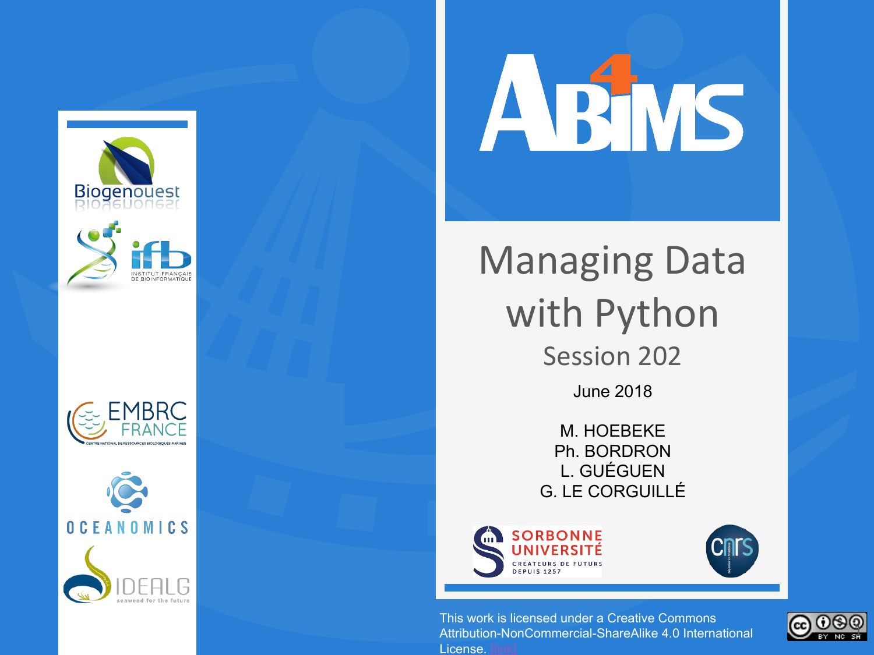









### Managing Data with Python Session 202 June 2018

M. HOEBEKE Ph. BORDRON L. GUÉGUEN G. LE CORGUILLÉ



This work is licensed under a Creative Commons Attribution-NonCommercial-ShareAlike 4.0 International License.

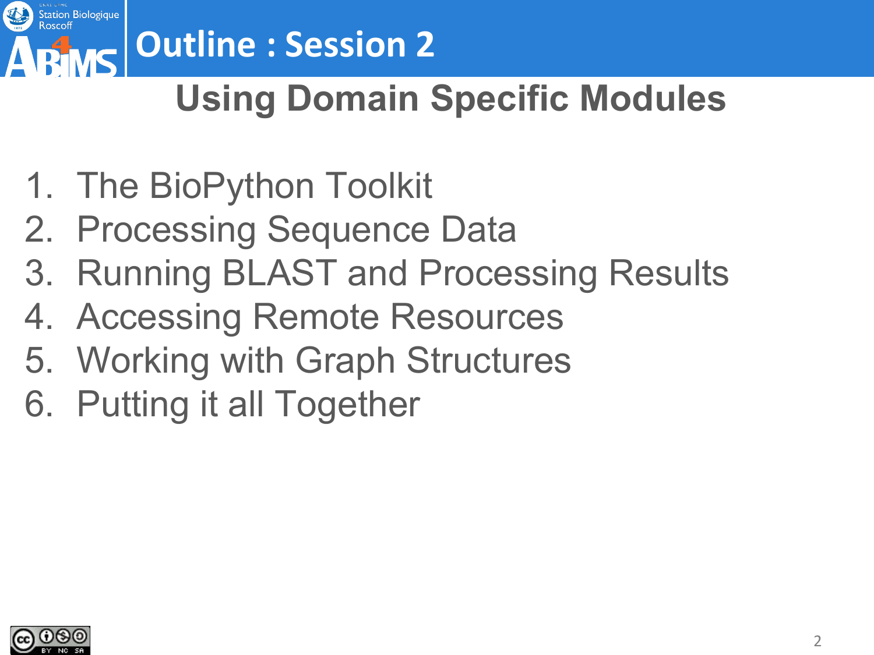

## **PINS Outline : Session 2**

### **Using Domain Specific Modules**

- 1. The BioPython Toolkit
- 2. Processing Sequence Data
- 3. Running BLAST and Processing Results
- 4. Accessing Remote Resources
- 5. Working with Graph Structures
- 6. Putting it all Together

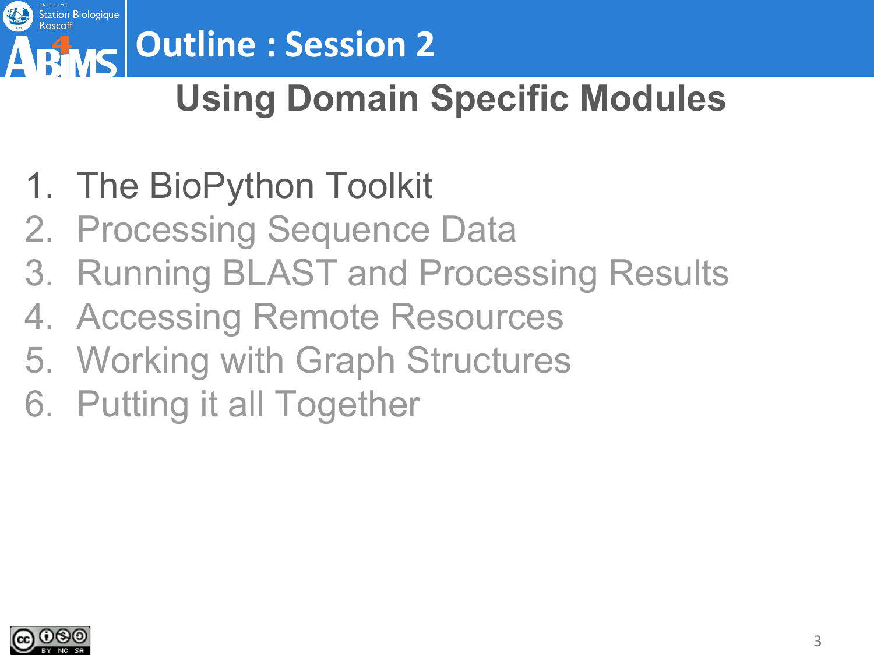

# **Outline : Session 2**

### **Using Domain Specific Modules**

- 1. The BioPython Toolkit
- 2. Processing Sequence Data
- 3. Running BLAST and Processing Results
- 4. Accessing Remote Resources
- 5. Working with Graph Structures
- 6. Putting it all Together

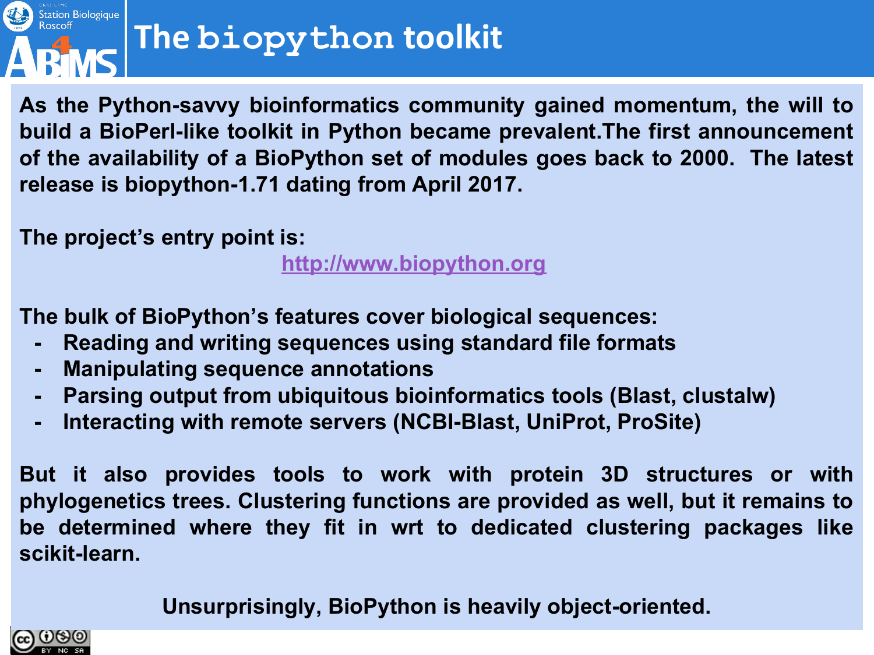

# **The biopython toolkit**

**As the Python-savvy bioinformatics community gained momentum, the will to build a BioPerl-like toolkit in Python became prevalent.The first announcement of the availability of a BioPython set of modules goes back to 2000. The latest release is biopython-1.71 dating from April 2017.**

**The project's entry point is:**

**<http://www.biopython.org>**

**The bulk of BioPython's features cover biological sequences:** 

- **- Reading and writing sequences using standard file formats**
- **- Manipulating sequence annotations**
- **- Parsing output from ubiquitous bioinformatics tools (Blast, clustalw)**
- **- Interacting with remote servers (NCBI-Blast, UniProt, ProSite)**

**But it also provides tools to work with protein 3D structures or with phylogenetics trees. Clustering functions are provided as well, but it remains to be determined where they fit in wrt to dedicated clustering packages like scikit-learn.**

**Unsurprisingly, BioPython is heavily object-oriented.**

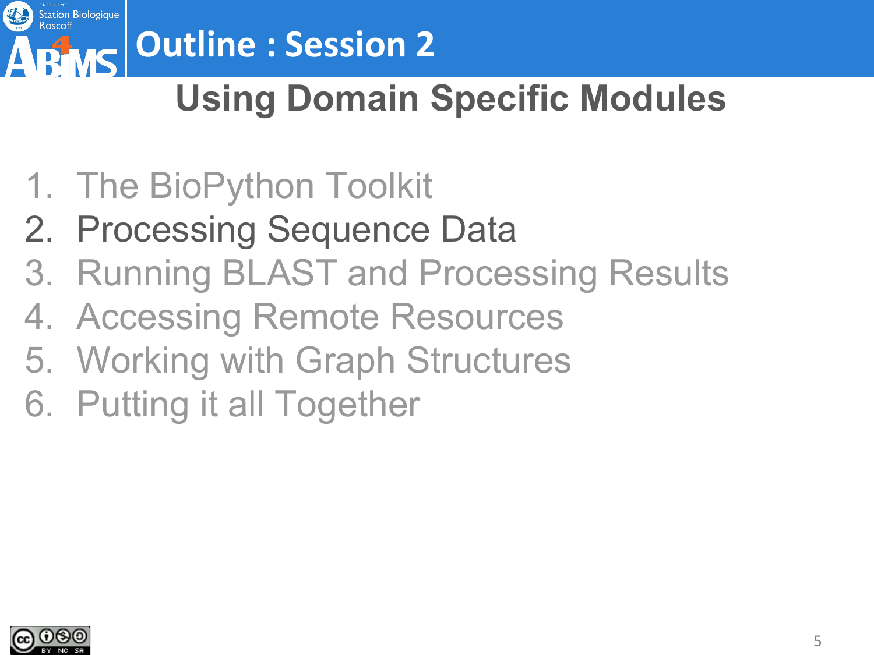

# **Outline : Session 2**

### **Using Domain Specific Modules**

- 1. The BioPython Toolkit
- 2. Processing Sequence Data
- 3. Running BLAST and Processing Results
- 4. Accessing Remote Resources
- 5. Working with Graph Structures
- 6. Putting it all Together

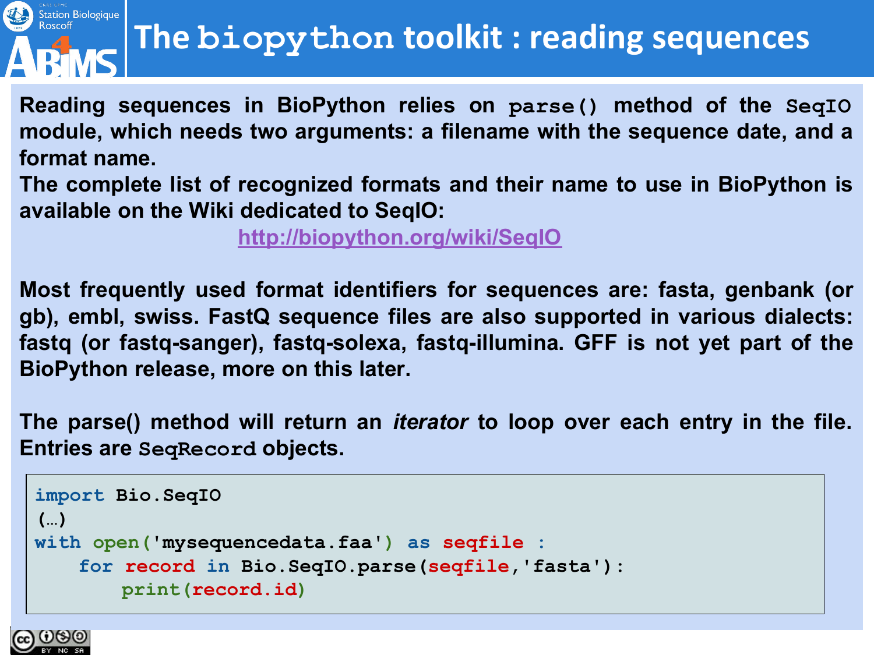### Station Biologique<br>Roscoff **DEMC**

### **The biopython toolkit : reading sequences**

**Reading sequences in BioPython relies on parse() method of the SeqIO module, which needs two arguments: a filename with the sequence date, and a format name.**

**The complete list of recognized formats and their name to use in BioPython is available on the Wiki dedicated to SeqIO:**

**<http://biopython.org/wiki/SeqIO>**

**Most frequently used format identifiers for sequences are: fasta, genbank (or gb), embl, swiss. FastQ sequence files are also supported in various dialects: fastq (or fastq-sanger), fastq-solexa, fastq-illumina. GFF is not yet part of the BioPython release, more on this later.**

**The parse() method will return an** *iterator* **to loop over each entry in the file. Entries are SeqRecord objects.**

```
import Bio.SeqIO
(…)
with open('mysequencedata.faa') as seqfile :
   for record in Bio.SeqIO.parse(seqfile,'fasta'):
       print(record.id)
```
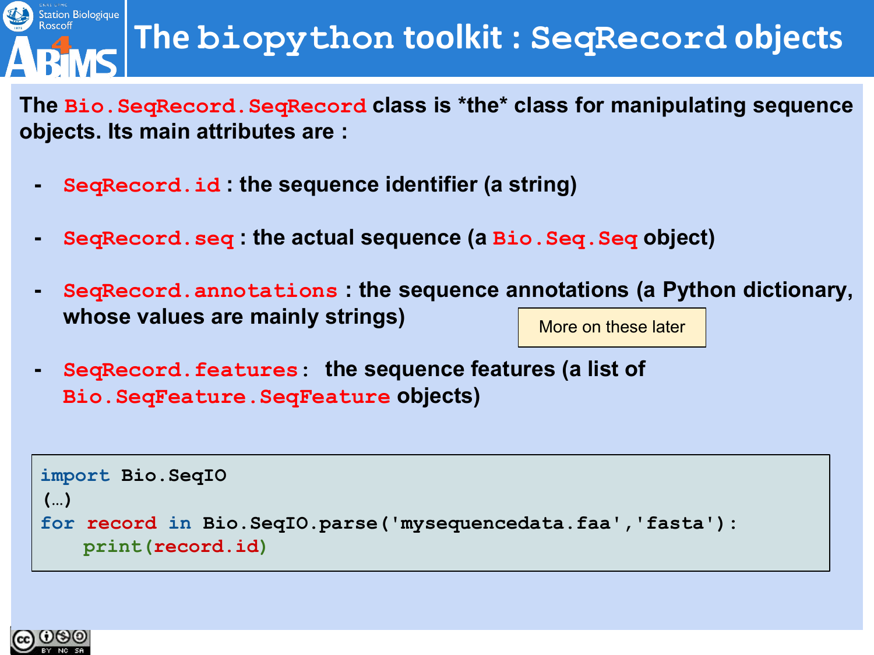

### **The biopython toolkit : SeqRecord objects**

**The Bio.SeqRecord.SeqRecord class is \*the\* class for manipulating sequence objects. Its main attributes are :**

- **- SeqRecord.id : the sequence identifier (a string)**
- **- SeqRecord.seq : the actual sequence (a Bio.Seq.Seq object)**
- **- SeqRecord.annotations : the sequence annotations (a Python dictionary, whose values are mainly strings)** More on these later
- **- SeqRecord.features: the sequence features (a list of Bio.SeqFeature.SeqFeature objects)**

```
import Bio.SeqIO
(…)
for record in Bio.SeqIO.parse('mysequencedata.faa','fasta'):
   print(record.id)
```
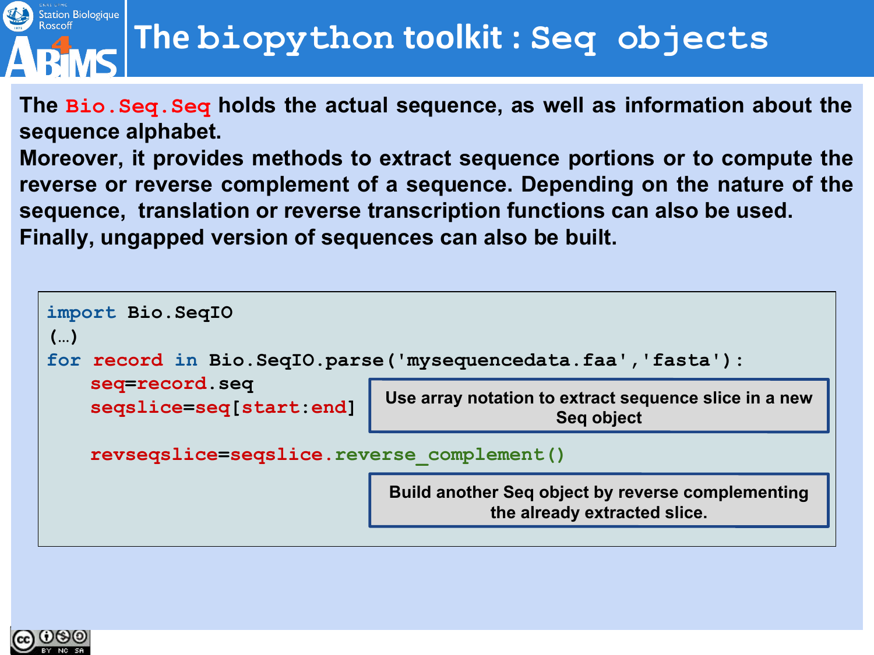

### **The biopython toolkit : Seq objects**

**The Bio.Seq.Seq holds the actual sequence, as well as information about the sequence alphabet.** 

**Moreover, it provides methods to extract sequence portions or to compute the reverse or reverse complement of a sequence. Depending on the nature of the sequence, translation or reverse transcription functions can also be used. Finally, ungapped version of sequences can also be built.**



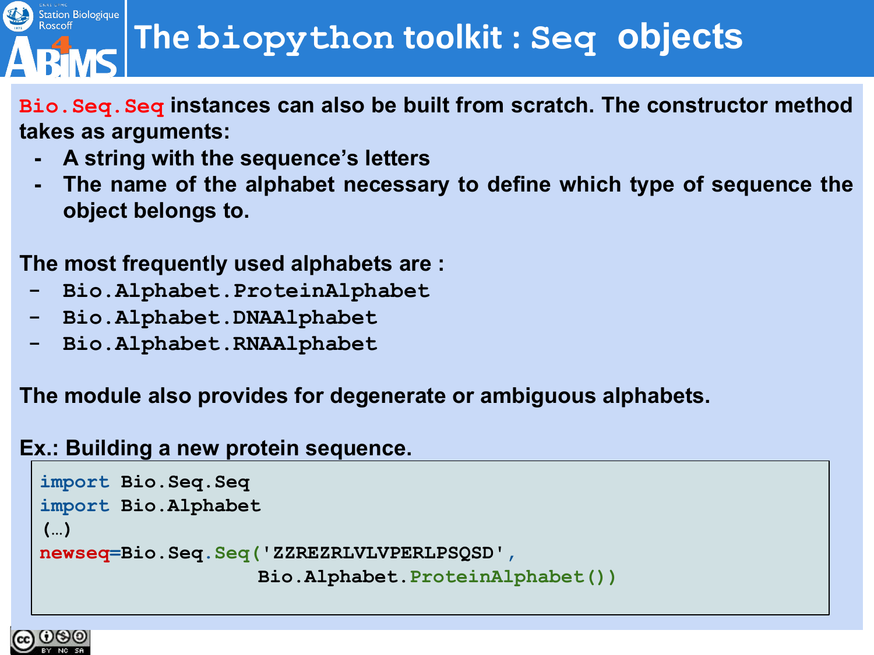### **The biopython toolkit : Seq objects**

- **Bio.Seq.Seq instances can also be built from scratch. The constructor method takes as arguments:**
	- **- A string with the sequence's letters**
	- **- The name of the alphabet necessary to define which type of sequence the object belongs to.**

#### **The most frequently used alphabets are :**

- **- Bio.Alphabet.ProteinAlphabet**
- **- Bio.Alphabet.DNAAlphabet**
- **- Bio.Alphabet.RNAAlphabet**

**The module also provides for degenerate or ambiguous alphabets.**

#### **Ex.: Building a new protein sequence.**

```
import Bio.Seq.Seq
import Bio.Alphabet
(…)
newseq=Bio.Seq.Seq('ZZREZRLVLVPERLPSQSD',
                   Bio.Alphabet.ProteinAlphabet())
```


Station Biologique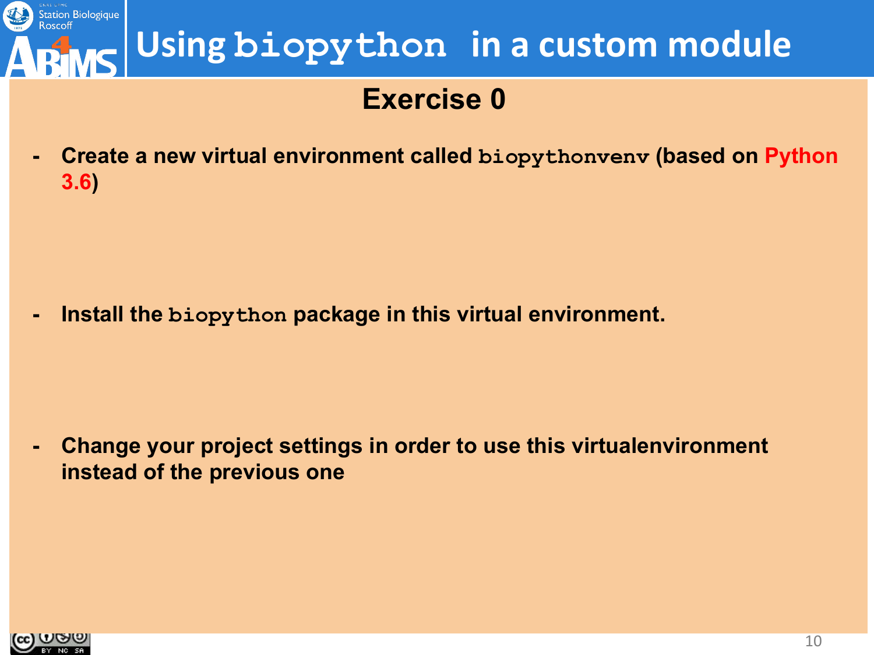

#### **Exercise 0**

**- Create a new virtual environment called biopythonvenv (based on Python 3.6)**

**- Install the biopython package in this virtual environment.**

**- Change your project settings in order to use this virtualenvironment instead of the previous one**

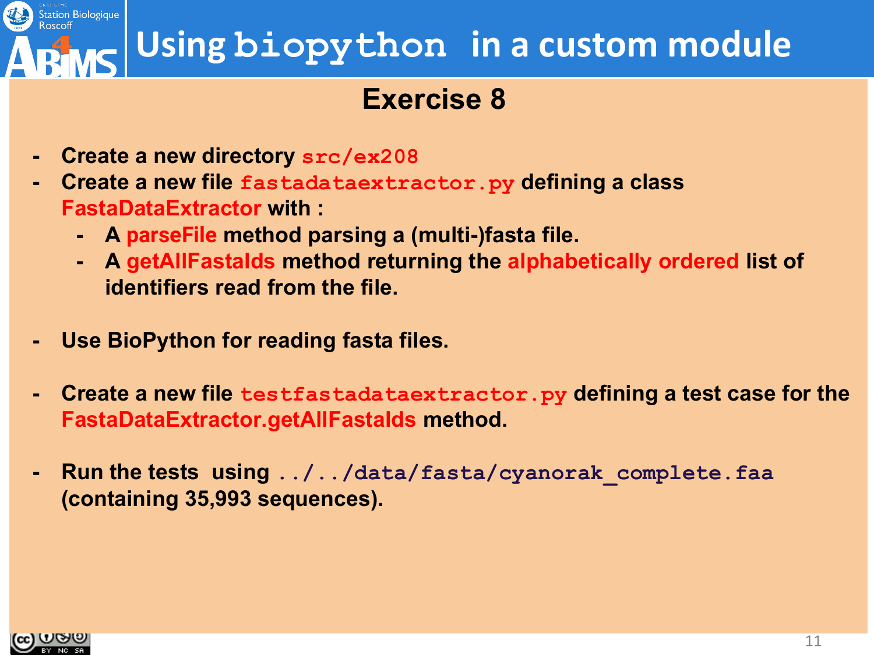### **Using biopython in a custom module**

#### **Exercise 8**

- **- Create a new directory src/ex208**
- **- Create a new file fastadataextractor.py defining a class FastaDataExtractor with :**
	- **- A parseFile method parsing a (multi-)fasta file.**
	- **- A getAllFastaIds method returning the alphabetically ordered list of identifiers read from the file.**
- **- Use BioPython for reading fasta files.**
- **- Create a new file testfastadataextractor.py defining a test case for the FastaDataExtractor.getAllFastaIds method.**
- **- Run the tests using ../../data/fasta/cyanorak\_complete.faa (containing 35,993 sequences).**

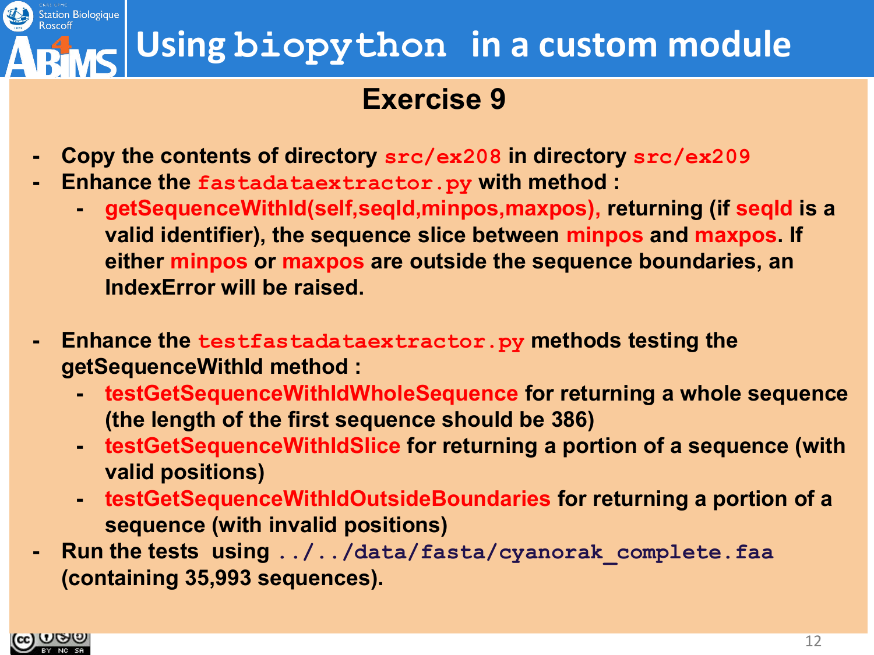

#### **Exercise 9**

- **- Copy the contents of directory src/ex208 in directory src/ex209**
- **- Enhance the fastadataextractor.py with method :**
	- **- getSequenceWithId(self,seqId,minpos,maxpos), returning (if seqId is a valid identifier), the sequence slice between minpos and maxpos. If either minpos or maxpos are outside the sequence boundaries, an IndexError will be raised.**
- **- Enhance the testfastadataextractor.py methods testing the getSequenceWithId method :**
	- **- testGetSequenceWithIdWholeSequence for returning a whole sequence (the length of the first sequence should be 386)**
	- **- testGetSequenceWithIdSlice for returning a portion of a sequence (with valid positions)**
	- **- testGetSequenceWithIdOutsideBoundaries for returning a portion of a sequence (with invalid positions)**
- **- Run the tests using ../../data/fasta/cyanorak\_complete.faa (containing 35,993 sequences).**

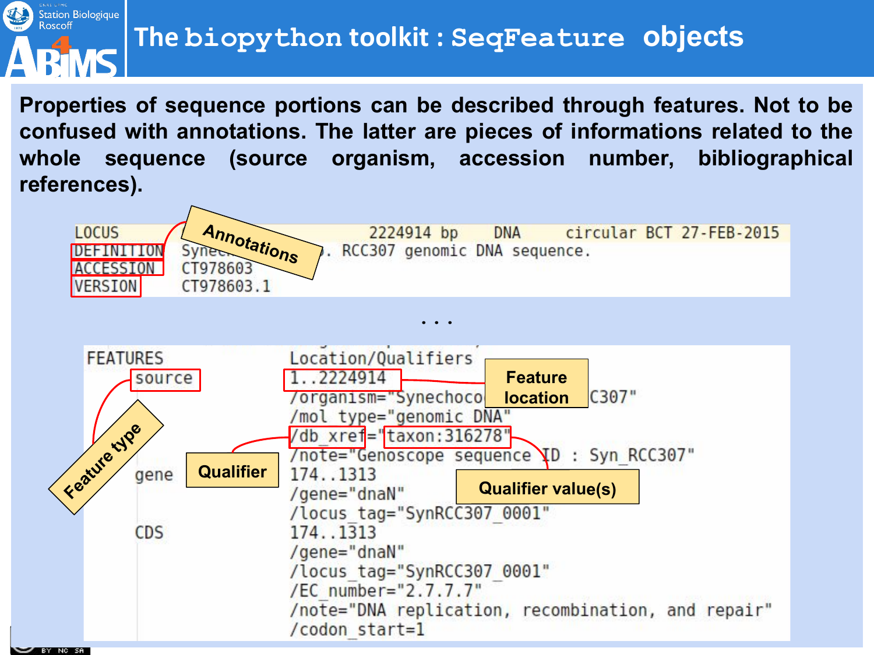

**Properties of sequence portions can be described through features. Not to be confused with annotations. The latter are pieces of informations related to the whole sequence (source organism, accession number, bibliographical references).**

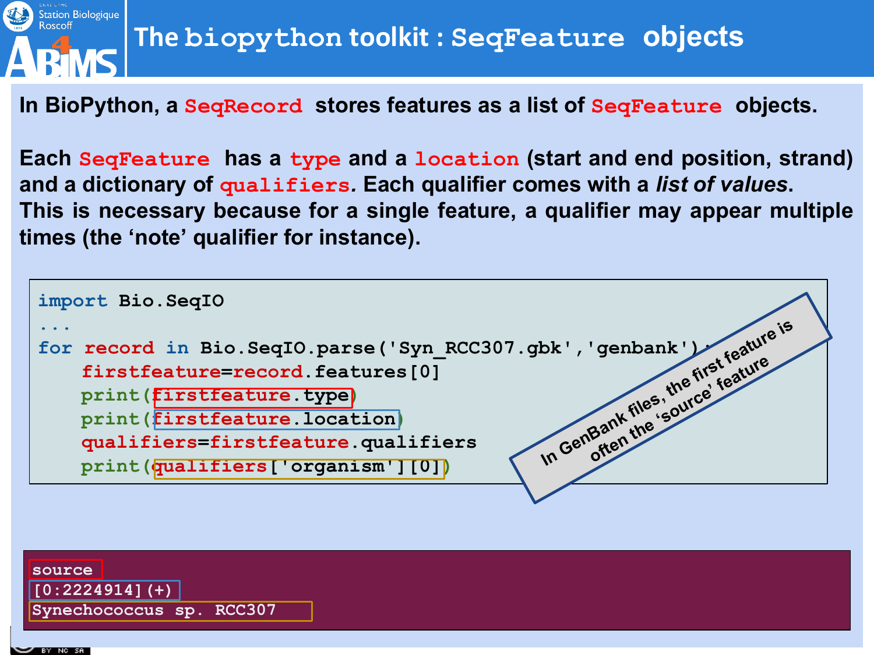

**In BioPython, a SeqRecord stores features as a list of SeqFeature objects.** 

**Each SeqFeature has a type and a location (start and end position, strand) and a dictionary of qualifiers***.* **Each qualifier comes with a** *list of values***. This is necessary because for a single feature, a qualifier may appear multiple times (the 'note' qualifier for instance).** 



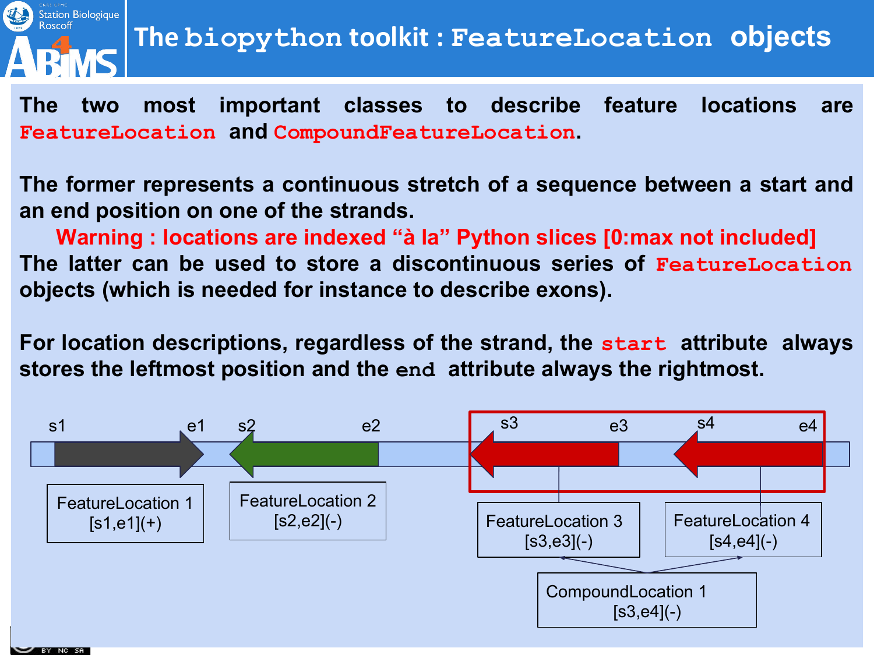

**The two most important classes to describe feature locations are FeatureLocation and CompoundFeatureLocation.** 

**The former represents a continuous stretch of a sequence between a start and an end position on one of the strands.**

**Warning : locations are indexed "à la" Python slices [0:max not included] The latter can be used to store a discontinuous series of FeatureLocation objects (which is needed for instance to describe exons).** 

**For location descriptions, regardless of the strand, the start attribute always stores the leftmost position and the end attribute always the rightmost.**

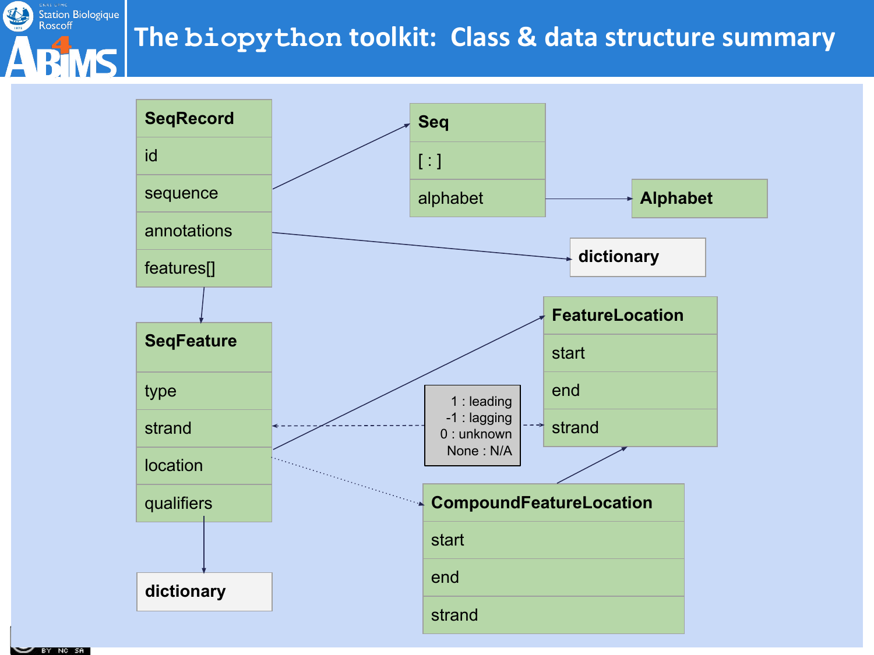



BY NO SA

处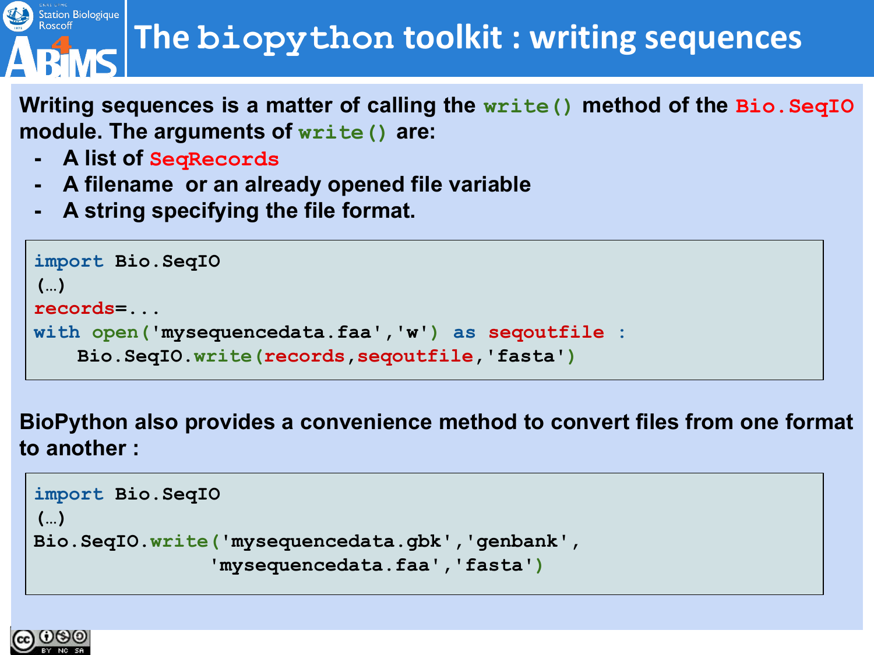# Station Biologique

### **The biopython toolkit : writing sequences**

**Writing sequences is a matter of calling the write() method of the Bio.SeqIO module. The arguments of write() are:**

- **- A list of SeqRecords**
- **- A filename or an already opened file variable**
- **- A string specifying the file format.**

```
import Bio.SeqIO
(…)
records=...
with open('mysequencedata.faa','w') as seqoutfile :
   Bio.SeqIO.write(records,seqoutfile,'fasta')
```
**BioPython also provides a convenience method to convert files from one format to another :**

```
import Bio.SeqIO
(…)
Bio.SeqIO.write('mysequencedata.gbk','genbank',
               'mysequencedata.faa','fasta')
```
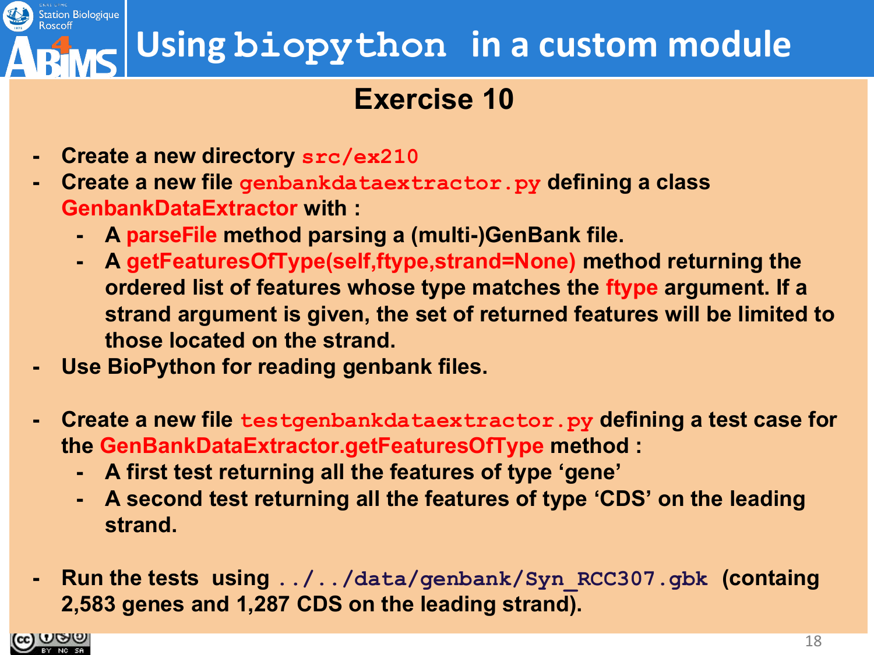### **Using biopython in a custom module**

#### **Exercise 10**

- **- Create a new directory src/ex210**
- **- Create a new file genbankdataextractor.py defining a class GenbankDataExtractor with :**
	- **- A parseFile method parsing a (multi-)GenBank file.**
	- **- A getFeaturesOfType(self,ftype,strand=None) method returning the ordered list of features whose type matches the ftype argument. If a strand argument is given, the set of returned features will be limited to those located on the strand.**
- **- Use BioPython for reading genbank files.**
- **- Create a new file testgenbankdataextractor.py defining a test case for the GenBankDataExtractor.getFeaturesOfType method :**
	- **- A first test returning all the features of type 'gene'**
	- **- A second test returning all the features of type 'CDS' on the leading strand.**
- **- Run the tests using ../../data/genbank/Syn\_RCC307.gbk (containg 2,583 genes and 1,287 CDS on the leading strand).**

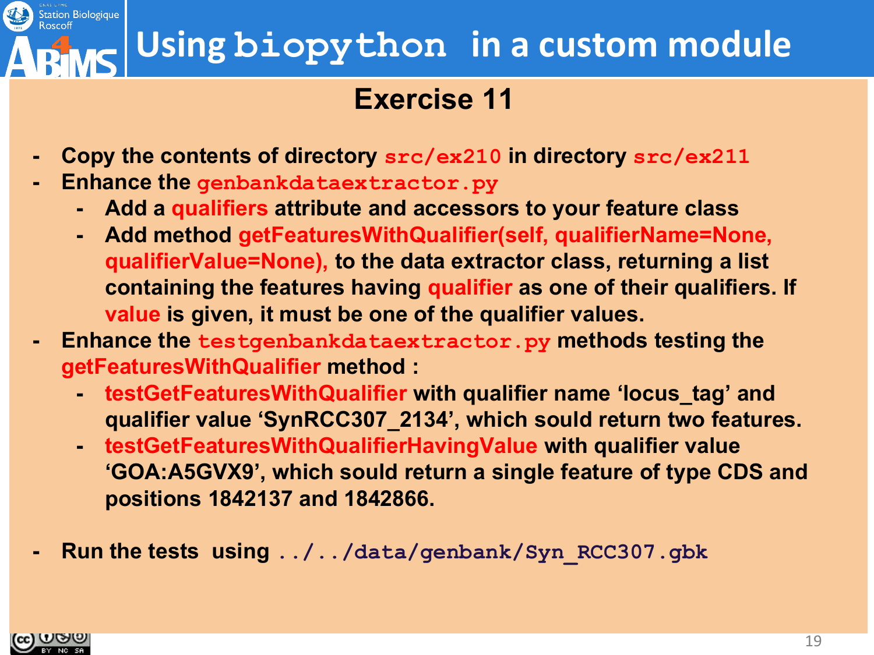### **Using biopython in a custom module**

#### **Exercise 11**

- **- Copy the contents of directory src/ex210 in directory src/ex211**
- **- Enhance the genbankdataextractor.py** 
	- **- Add a qualifiers attribute and accessors to your feature class**
	- **- Add method getFeaturesWithQualifier(self, qualifierName=None, qualifierValue=None), to the data extractor class, returning a list containing the features having qualifier as one of their qualifiers. If value is given, it must be one of the qualifier values.**
- **- Enhance the testgenbankdataextractor.py methods testing the getFeaturesWithQualifier method :**
	- **- testGetFeaturesWithQualifier with qualifier name 'locus\_tag' and qualifier value 'SynRCC307\_2134', which sould return two features.**
	- **- testGetFeaturesWithQualifierHavingValue with qualifier value 'GOA:A5GVX9', which sould return a single feature of type CDS and positions 1842137 and 1842866.**
- **- Run the tests using ../../data/genbank/Syn\_RCC307.gbk**



Station Biologique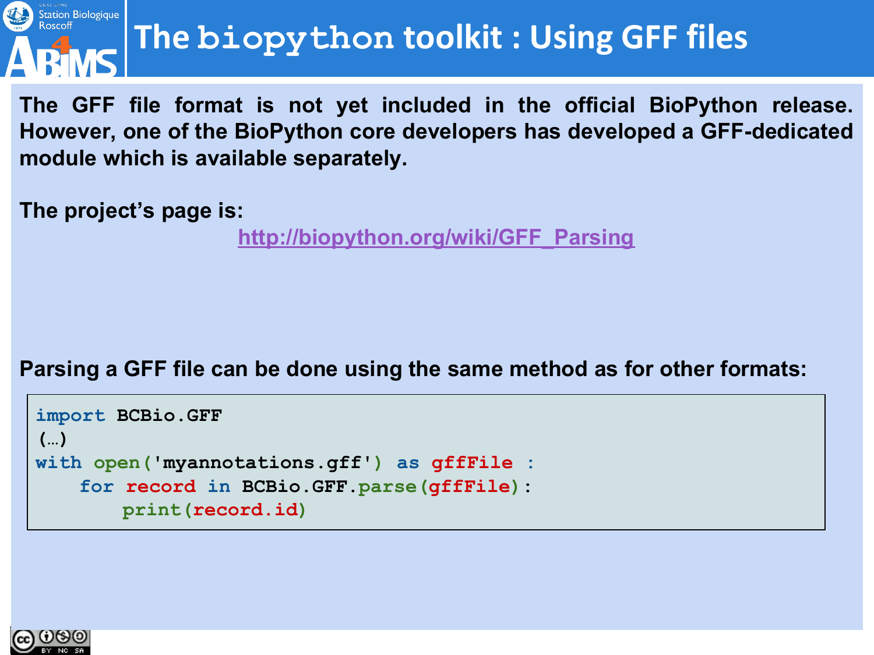

### **The biopython toolkit : Using GFF files**

**The GFF file format is not yet included in the official BioPython release. However, one of the BioPython core developers has developed a GFF-dedicated module which is available separately.**

**The project's page is:**

**[http://biopython.org/wiki/GFF\\_Parsing](http://biopython.org/wiki/GFF_Parsing)**

#### **Parsing a GFF file can be done using the same method as for other formats:**

```
import BCBio.GFF
(…)
with open('myannotations.gff') as gffFile :
   for record in BCBio.GFF.parse(gffFile):
       print(record.id)
```
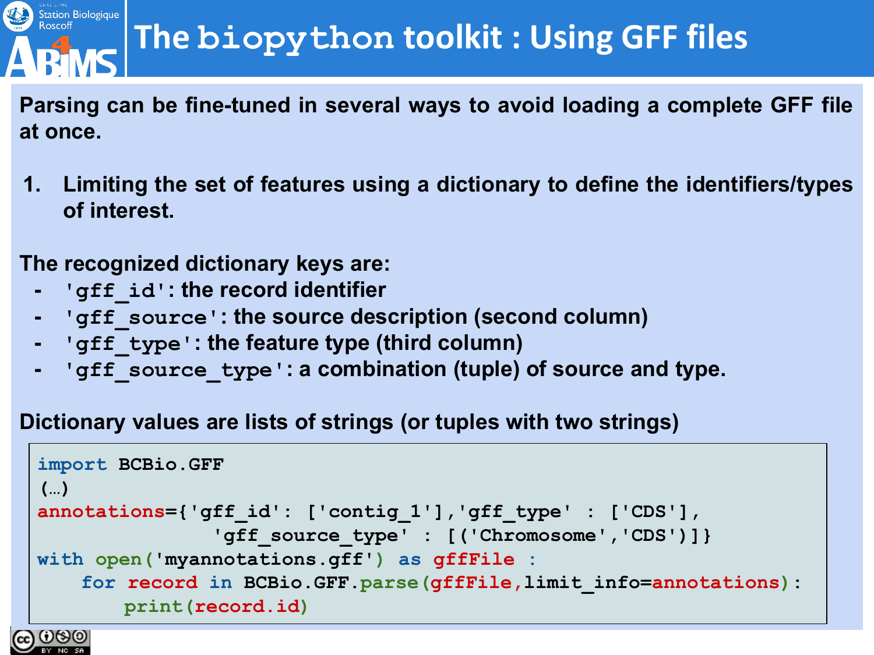# Station Biologique

### **The biopython toolkit : Using GFF files**

**Parsing can be fine-tuned in several ways to avoid loading a complete GFF file at once.**

**1. Limiting the set of features using a dictionary to define the identifiers/types of interest.**

**The recognized dictionary keys are:**

- **- 'gff\_id': the record identifier**
- **- 'gff\_source': the source description (second column)**
- **- 'gff\_type': the feature type (third column)**
- **- 'gff\_source\_type': a combination (tuple) of source and type.**

**Dictionary values are lists of strings (or tuples with two strings)**

```
import BCBio.GFF
(…)
annotations={'gff_id': ['contig_1'],'gff_type' : ['CDS'],
               'gff_source_type' : [('Chromosome','CDS')]}
with open('myannotations.gff') as gffFile :
   for record in BCBio.GFF.parse(gffFile,limit_info=annotations):
       print(record.id)
```
ပ္ကေတ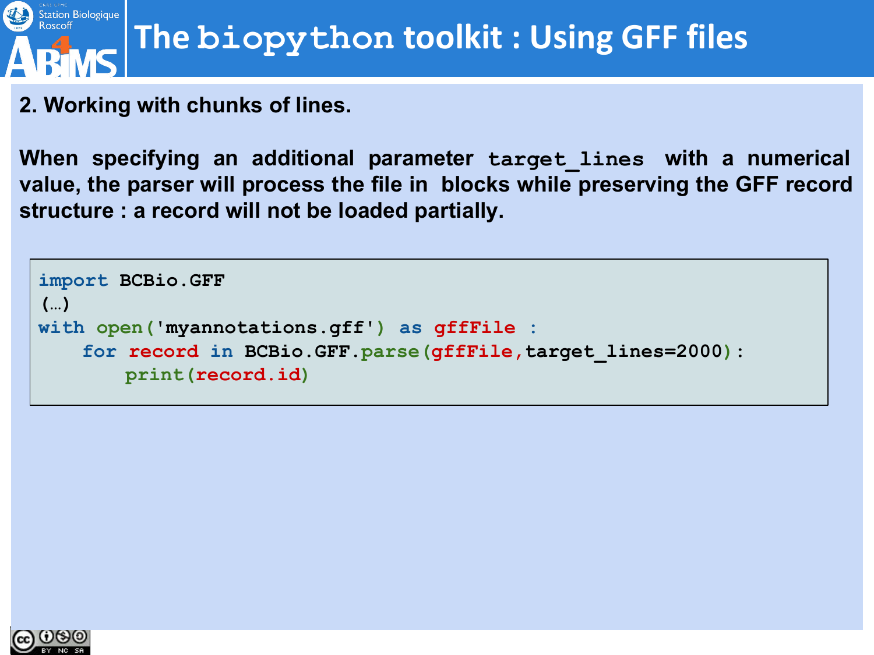

#### **2. Working with chunks of lines.**

**When specifying an additional parameter target\_lines with a numerical value, the parser will process the file in blocks while preserving the GFF record structure : a record will not be loaded partially.**

```
import BCBio.GFF
(…)
with open('myannotations.gff') as gffFile :
   for record in BCBio.GFF.parse(gffFile,target_lines=2000):
       print(record.id)
```
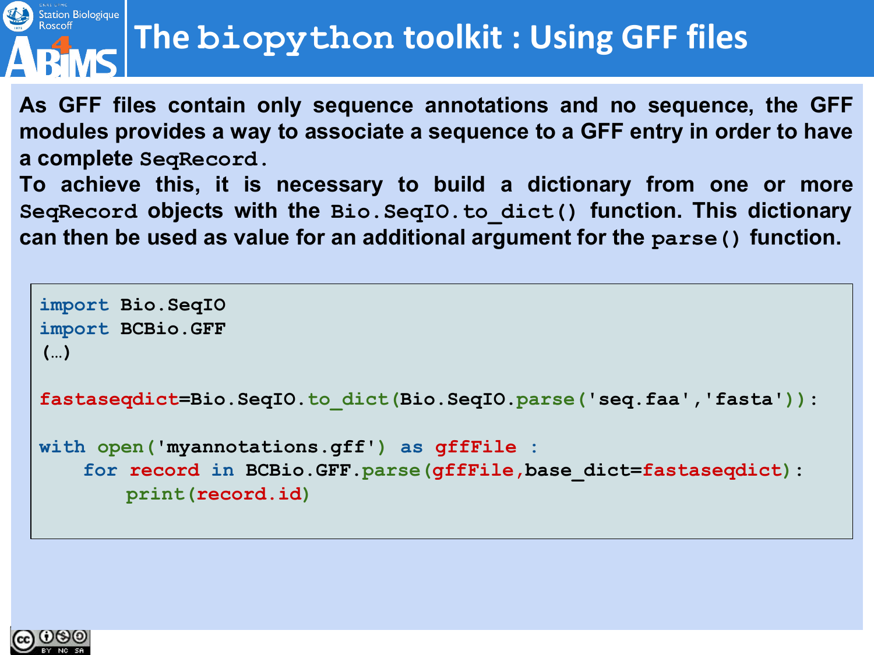### **The biopython toolkit : Using GFF files**

**As GFF files contain only sequence annotations and no sequence, the GFF modules provides a way to associate a sequence to a GFF entry in order to have a complete SeqRecord.**

**To achieve this, it is necessary to build a dictionary from one or more SeqRecord objects with the Bio.SeqIO.to\_dict() function. This dictionary can then be used as value for an additional argument for the parse() function.**

```
import Bio.SeqIO
import BCBio.GFF
(…)
fastaseqdict=Bio.SeqIO.to_dict(Bio.SeqIO.parse('seq.faa','fasta')):
with open('myannotations.gff') as gffFile :
   for record in BCBio.GFF.parse(gffFile,base_dict=fastaseqdict):
       print(record.id)
```


Station Biologique<br>Roscoff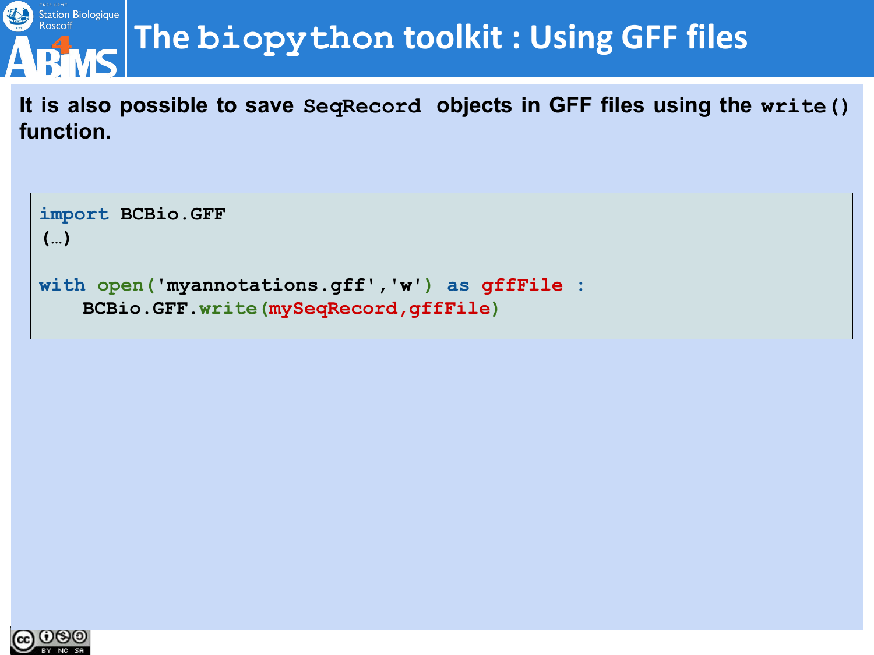

### **The biopython toolkit : Using GFF files**

**It is also possible to save SeqRecord objects in GFF files using the write() function.**

**import BCBio.GFF (…)**

```
with open('myannotations.gff','w') as gffFile :
   BCBio.GFF.write(mySeqRecord,gffFile)
```
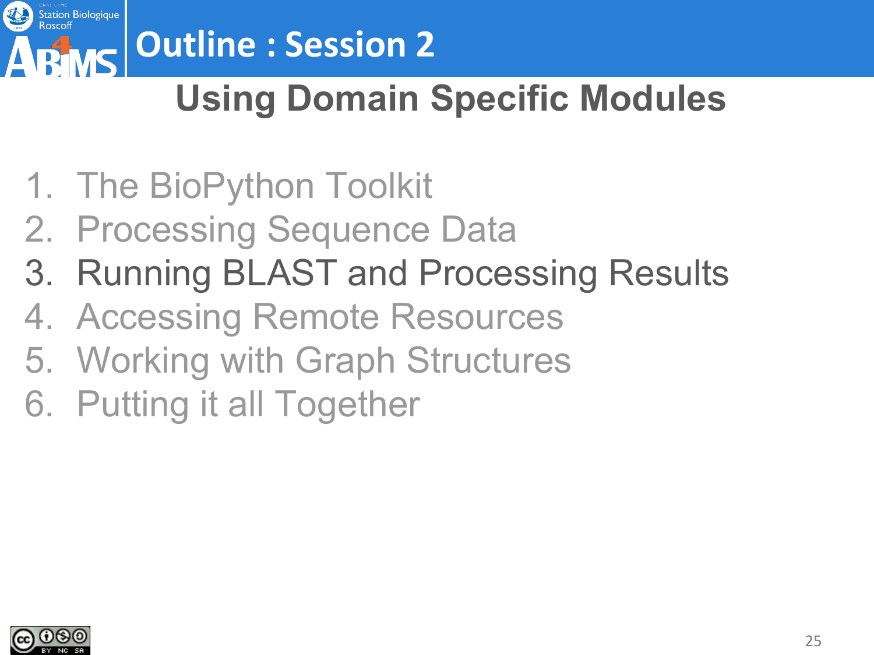

# **Outline : Session 2**

### **Using Domain Specific Modules**

- 1. The BioPython Toolkit
- 2. Processing Sequence Data
- 3. Running BLAST and Processing Results
- 4. Accessing Remote Resources
- 5. Working with Graph Structures
- 6. Putting it all Together

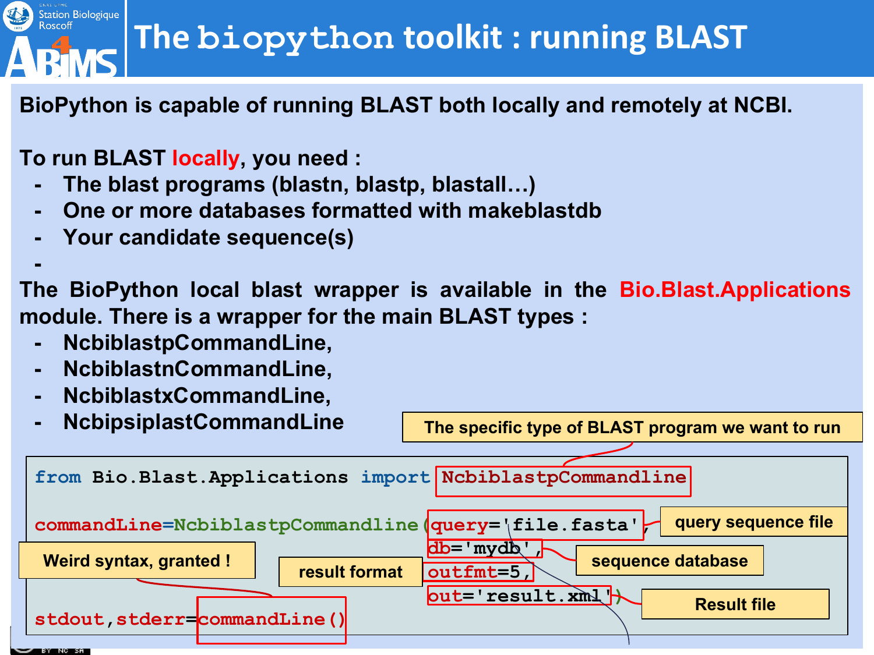### **The biopython toolkit : running BLAST**

**BioPython is capable of running BLAST both locally and remotely at NCBI.**

#### **To run BLAST locally, you need :**

- **- The blast programs (blastn, blastp, blastall…)**
- **- One or more databases formatted with makeblastdb**
- **- Your candidate sequence(s)**

**The BioPython local blast wrapper is available in the Bio.Blast.Applications module. There is a wrapper for the main BLAST types :**

**- NcbiblastpCommandLine,**

**-**

Station Biologique<br>Roscoff

- **- NcbiblastnCommandLine,**
- **- NcbiblastxCommandLine,**



**The specific type of BLAST program we want to run**

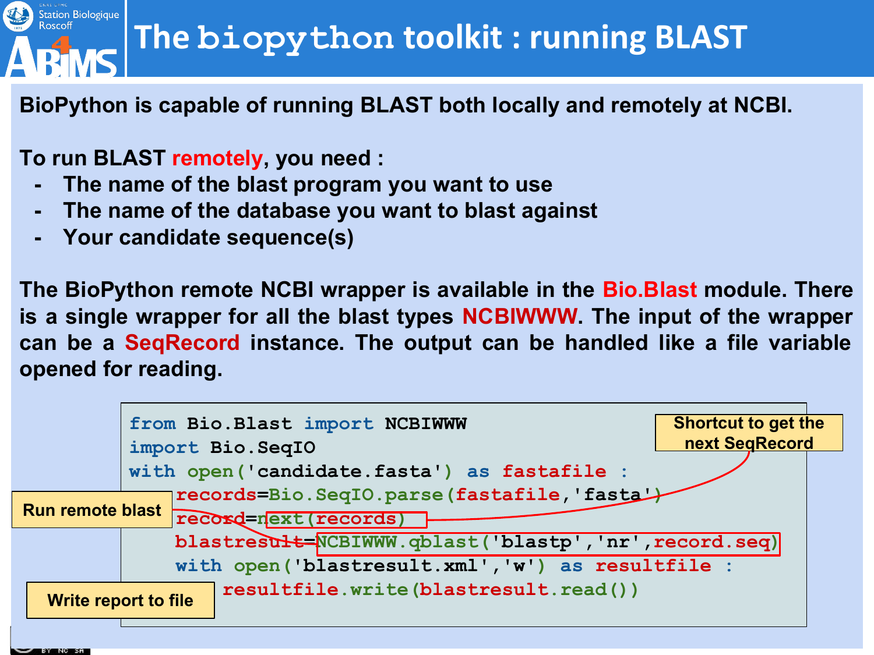### **The biopython toolkit : running BLAST**

**BioPython is capable of running BLAST both locally and remotely at NCBI.**

**To run BLAST remotely, you need :**

Station Biologique

- **- The name of the blast program you want to use**
- **- The name of the database you want to blast against**
- **- Your candidate sequence(s)**

**The BioPython remote NCBI wrapper is available in the Bio.Blast module. There is a single wrapper for all the blast types NCBIWWW. The input of the wrapper can be a SeqRecord instance. The output can be handled like a file variable opened for reading.**

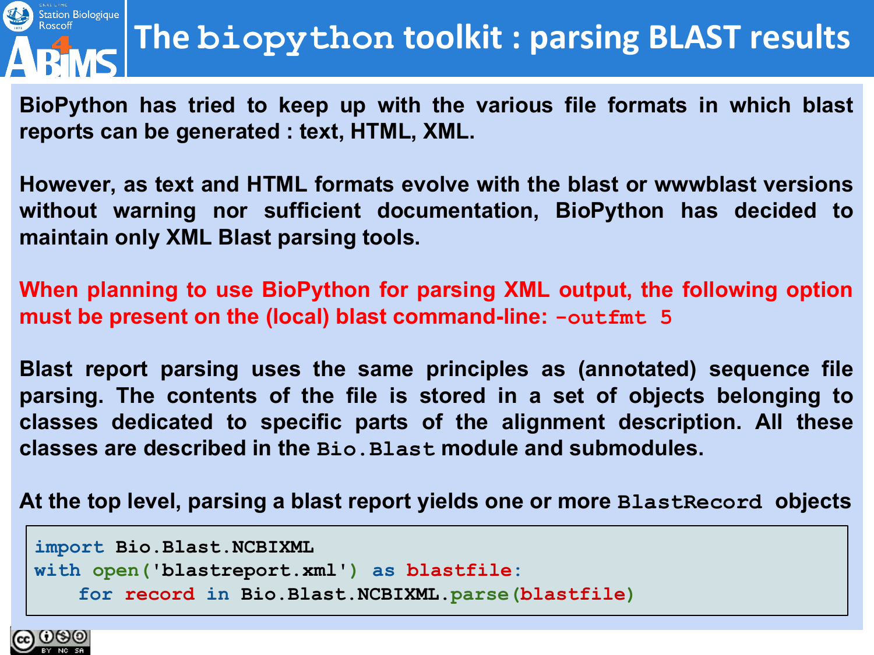

**BioPython has tried to keep up with the various file formats in which blast reports can be generated : text, HTML, XML.**

**However, as text and HTML formats evolve with the blast or wwwblast versions without warning nor sufficient documentation, BioPython has decided to maintain only XML Blast parsing tools.** 

**When planning to use BioPython for parsing XML output, the following option must be present on the (local) blast command-line: -outfmt 5**

**Blast report parsing uses the same principles as (annotated) sequence file parsing. The contents of the file is stored in a set of objects belonging to classes dedicated to specific parts of the alignment description. All these classes are described in the Bio.Blast module and submodules.**

**At the top level, parsing a blast report yields one or more BlastRecord objects**

```
import Bio.Blast.NCBIXML
with open('blastreport.xml') as blastfile:
   for record in Bio.Blast.NCBIXML.parse(blastfile)
```
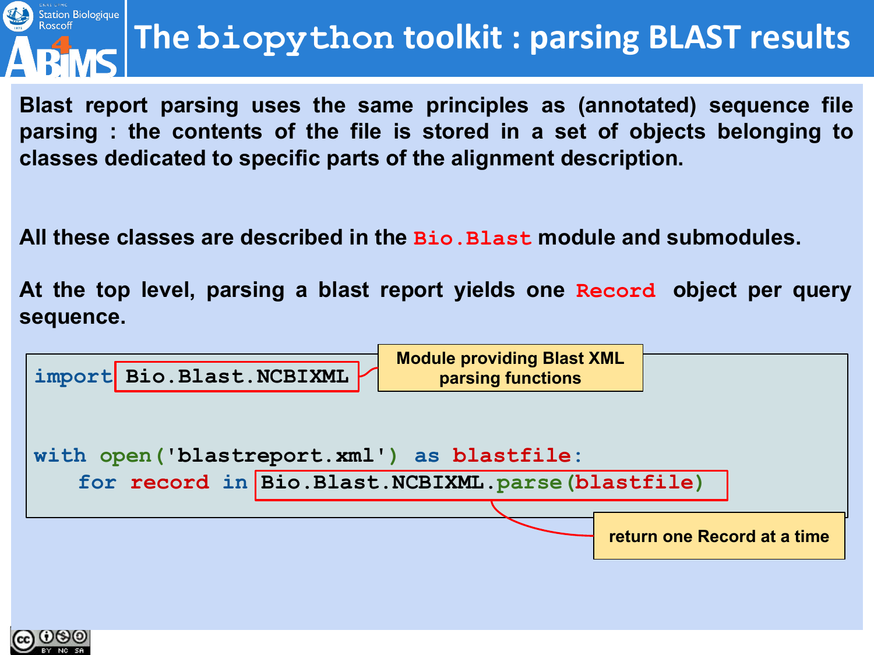

### **The biopython toolkit : parsing BLAST results**

**Blast report parsing uses the same principles as (annotated) sequence file parsing : the contents of the file is stored in a set of objects belonging to classes dedicated to specific parts of the alignment description.** 

**All these classes are described in the Bio.Blast module and submodules.**

**At the top level, parsing a blast report yields one Record object per query sequence.**



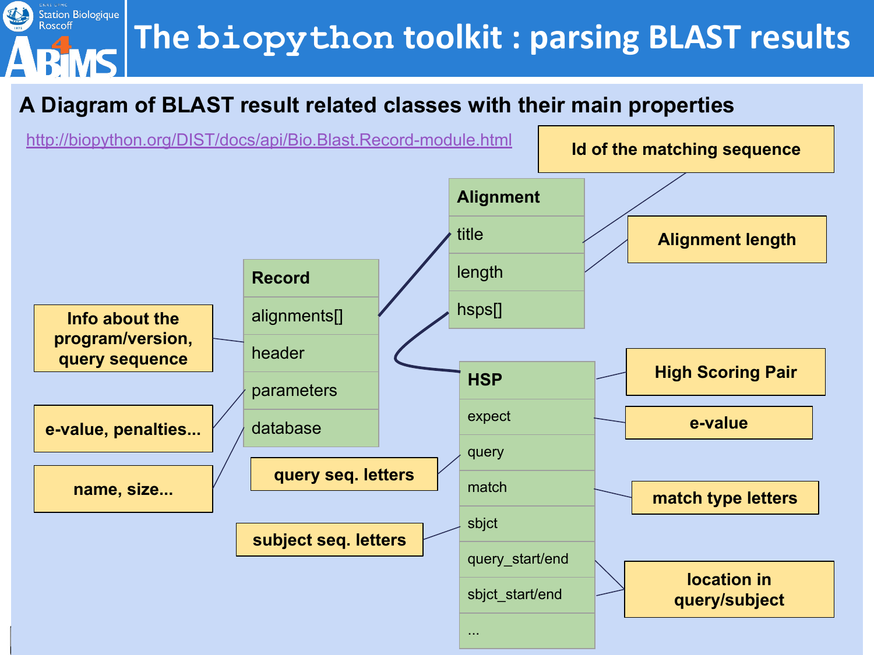### **The biopython toolkit : parsing BLAST results**

#### **A Diagram of BLAST result related classes with their main properties**

**Station Biologique**<br>Roscoff

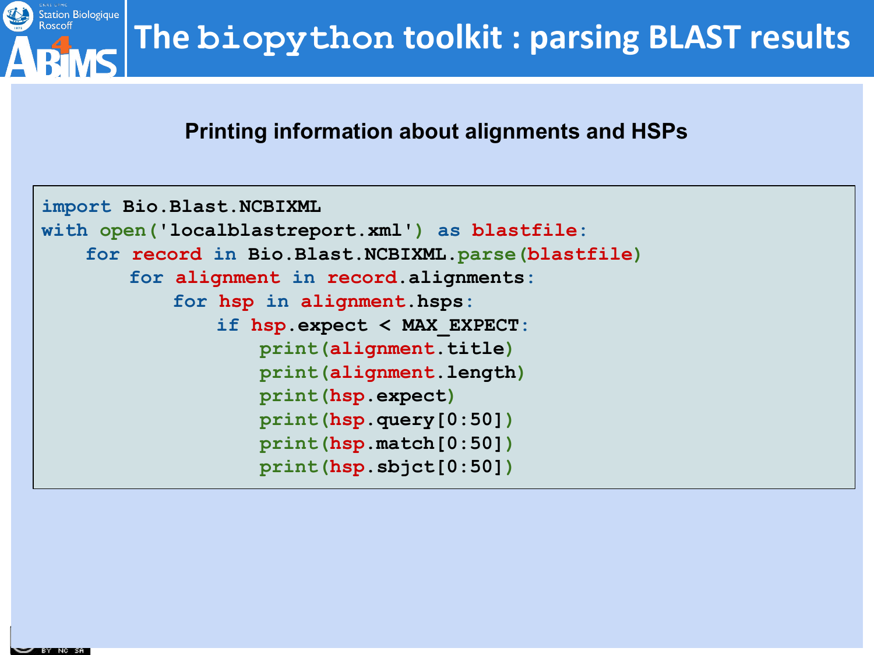

#### **Printing information about alignments and HSPs**

```
import Bio.Blast.NCBIXML
with open('localblastreport.xml') as blastfile:
   for record in Bio.Blast.NCBIXML.parse(blastfile)
       for alignment in record.alignments:
           for hsp in alignment.hsps:
               if hsp.expect < MAX_EXPECT:
                   print(alignment.title)
                   print(alignment.length)
                   print(hsp.expect)
                   print(hsp.query[0:50])
                   print(hsp.match[0:50])
                   print(hsp.sbjct[0:50])
```
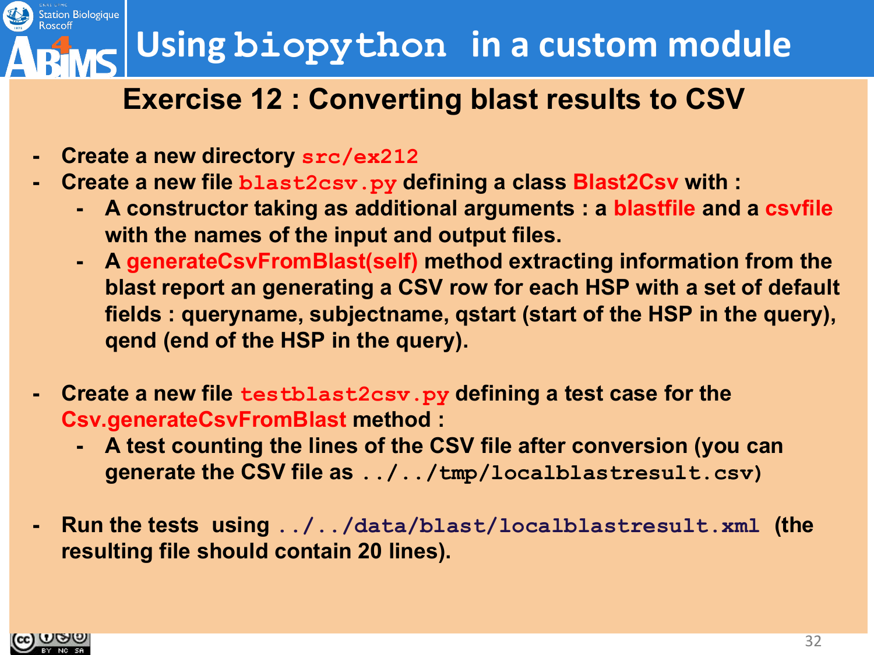### **Using biopython in a custom module**

#### **Exercise 12 : Converting blast results to CSV**

- **- Create a new directory src/ex212**
- **- Create a new file blast2csv.py defining a class Blast2Csv with :**
	- **- A constructor taking as additional arguments : a blastfile and a csvfile with the names of the input and output files.**
	- **- A generateCsvFromBlast(self) method extracting information from the blast report an generating a CSV row for each HSP with a set of default fields : queryname, subjectname, qstart (start of the HSP in the query), qend (end of the HSP in the query).**
- **- Create a new file testblast2csv.py defining a test case for the Csv.generateCsvFromBlast method :**
	- **- A test counting the lines of the CSV file after conversion (you can generate the CSV file as ../../tmp/localblastresult.csv)**
- **- Run the tests using ../../data/blast/localblastresult.xml (the resulting file should contain 20 lines).**

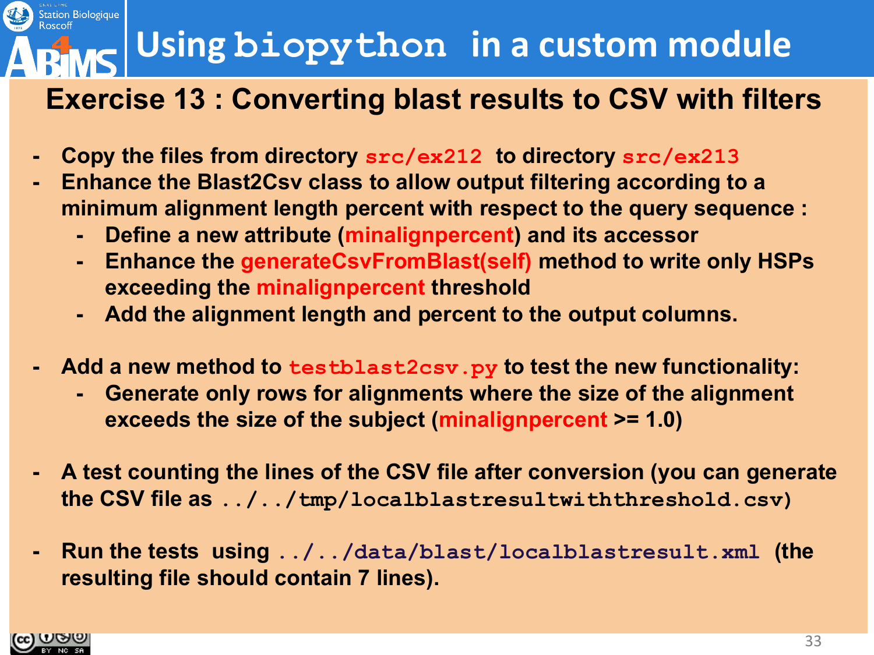### **Using biopython in a custom module**

#### **Exercise 13 : Converting blast results to CSV with filters**

- **- Copy the files from directory src/ex212 to directory src/ex213**
- **- Enhance the Blast2Csv class to allow output filtering according to a minimum alignment length percent with respect to the query sequence :**
	- **- Define a new attribute (minalignpercent) and its accessor**
	- **- Enhance the generateCsvFromBlast(self) method to write only HSPs exceeding the minalignpercent threshold**
	- **- Add the alignment length and percent to the output columns.**
- **- Add a new method to testblast2csv.py to test the new functionality:**
	- **- Generate only rows for alignments where the size of the alignment exceeds the size of the subject (minalignpercent >= 1.0)**
- **- A test counting the lines of the CSV file after conversion (you can generate the CSV file as ../../tmp/localblastresultwiththreshold.csv)**
- **- Run the tests using ../../data/blast/localblastresult.xml (the resulting file should contain 7 lines).**

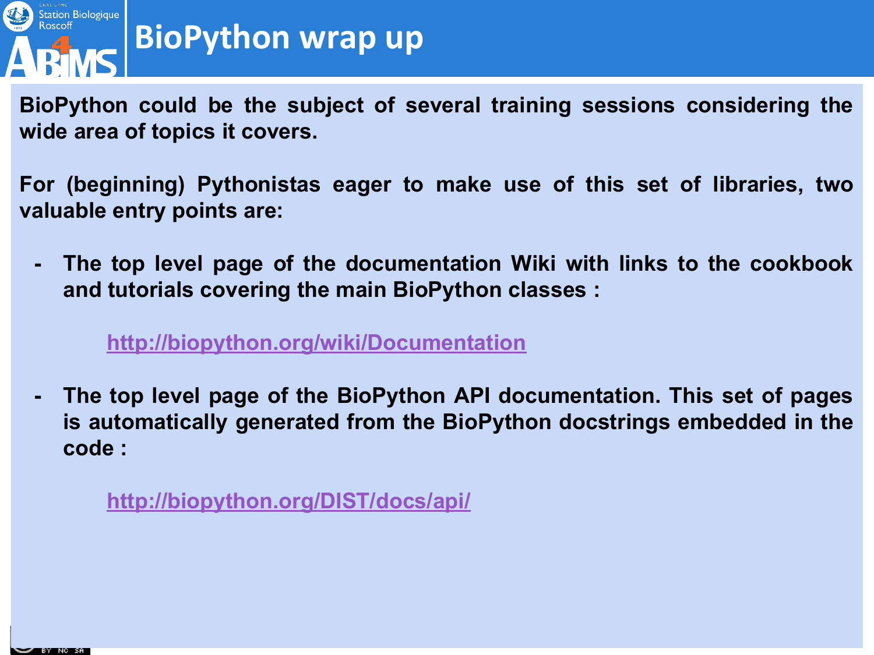

### **BioPython wrap up**

**BioPython could be the subject of several training sessions considering the wide area of topics it covers.**

**For (beginning) Pythonistas eager to make use of this set of libraries, two valuable entry points are:**

**- The top level page of the documentation Wiki with links to the cookbook and tutorials covering the main BioPython classes :**

#### **<http://biopython.org/wiki/Documentation>**

**- The top level page of the BioPython API documentation. This set of pages is automatically generated from the BioPython docstrings embedded in the code :**

**<http://biopython.org/DIST/docs/api/>**

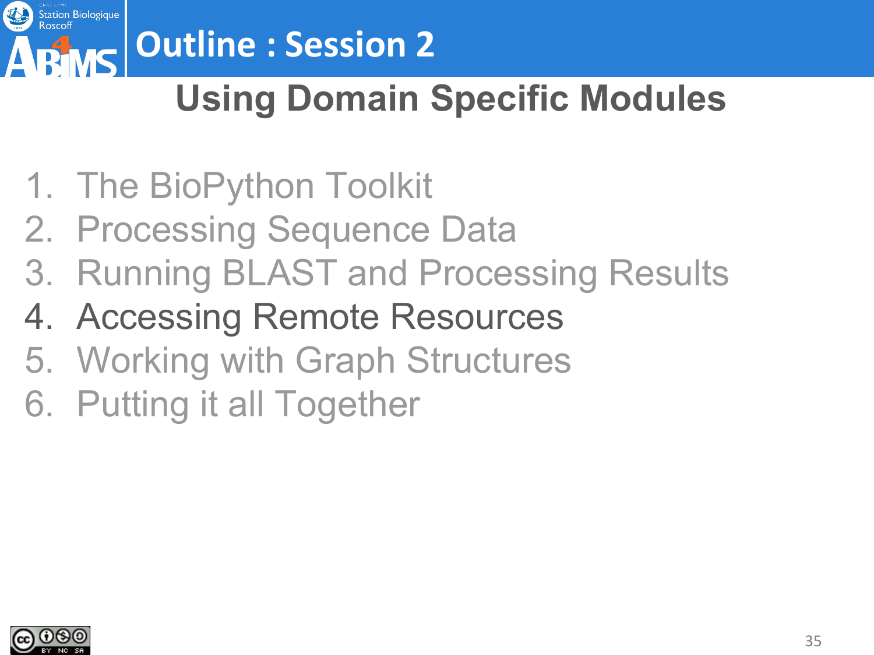

# **Outline : Session 2**

### **Using Domain Specific Modules**

- 1. The BioPython Toolkit
- 2. Processing Sequence Data
- 3. Running BLAST and Processing Results
- 4. Accessing Remote Resources
- 5. Working with Graph Structures
- 6. Putting it all Together

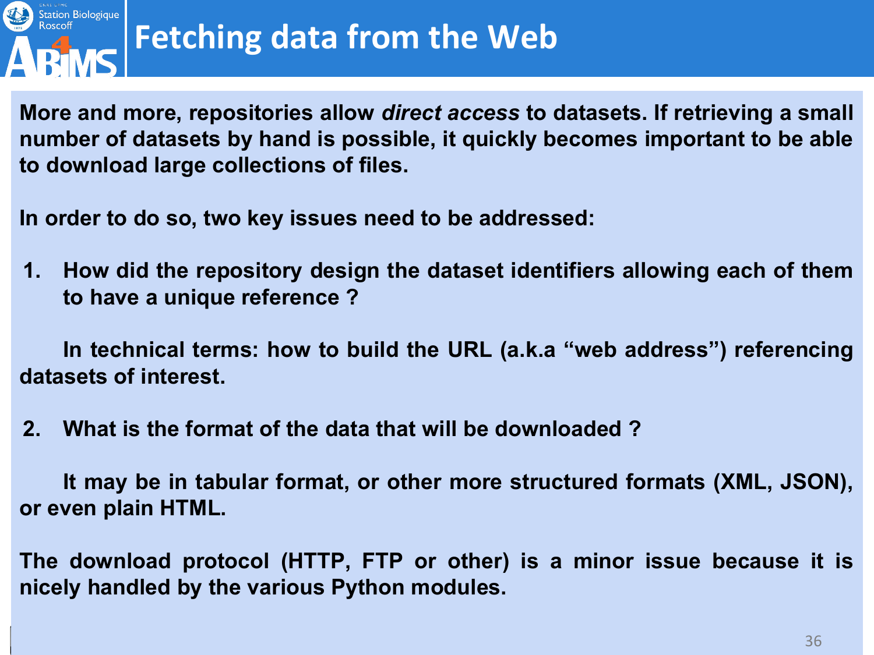

**More and more, repositories allow** *direct access* **to datasets. If retrieving a small number of datasets by hand is possible, it quickly becomes important to be able to download large collections of files.**

**In order to do so, two key issues need to be addressed:**

**1. How did the repository design the dataset identifiers allowing each of them to have a unique reference ?**

**In technical terms: how to build the URL (a.k.a "web address") referencing datasets of interest.**

**2. What is the format of the data that will be downloaded ?**

**It may be in tabular format, or other more structured formats (XML, JSON), or even plain HTML.**

**The download protocol (HTTP, FTP or other) is a minor issue because it is nicely handled by the various Python modules.**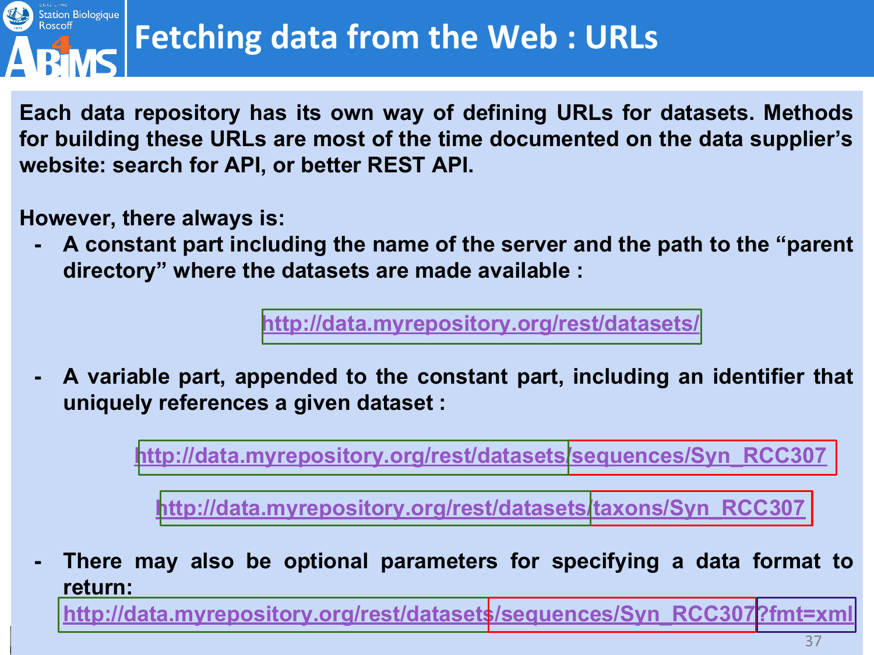

**Each data repository has its own way of defining URLs for datasets. Methods for building these URLs are most of the time documented on the data supplier's website: search for API, or better REST API.**

**However, there always is:**

**- A constant part including the name of the server and the path to the "parent directory" where the datasets are made available :**

**[http://data.myrepository.org/rest/datasets/](http://data.myrepository.org/rest/datasets)**

**- A variable part, appended to the constant part, including an identifier that uniquely references a given dataset :**

**[http://data.myrepository.org/rest/datasets/sequences/Syn\\_RCC307](http://data.myrepository.org/rest/datasets)**

**[http://data.myrepository.org/rest/datasets/taxons/Syn\\_RCC307](http://data.myrepository.org/rest/datasets)**

**- There may also be optional parameters for specifying a data format to return:**

**[http://data.myrepository.org/rest/datasets/sequences/Syn\\_RCC307?fmt=xml](http://data.myrepository.org/rest/datasets)**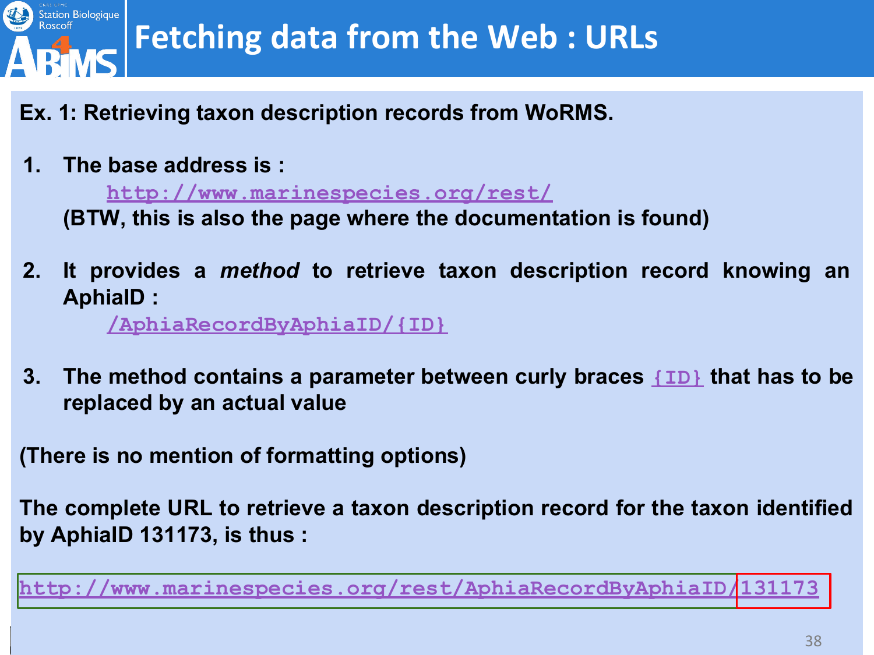

### **Fetching data from the Web : URLs**

- **Ex. 1: Retrieving taxon description records from WoRMS.**
- **1. The base address is :**

**<http://www.marinespecies.org/rest/>**

**(BTW, this is also the page where the documentation is found)**

**2. It provides a** *method* **to retrieve taxon description record knowing an AphiaID :**

**[/AphiaRecordByAphiaID/{ID}](http://www.marinespecies.org/rest/)**

**3. The method contains a parameter between curly braces [{ID}](http://www.marinespecies.org/rest/) that has to be replaced by an actual value**

**(There is no mention of formatting options)**

**The complete URL to retrieve a taxon description record for the taxon identified by AphiaID 131173, is thus :**

**[http://www.marinespecies.org/rest/AphiaRecordByAphiaID/131173](http://www.marinespecies.org/rest/)**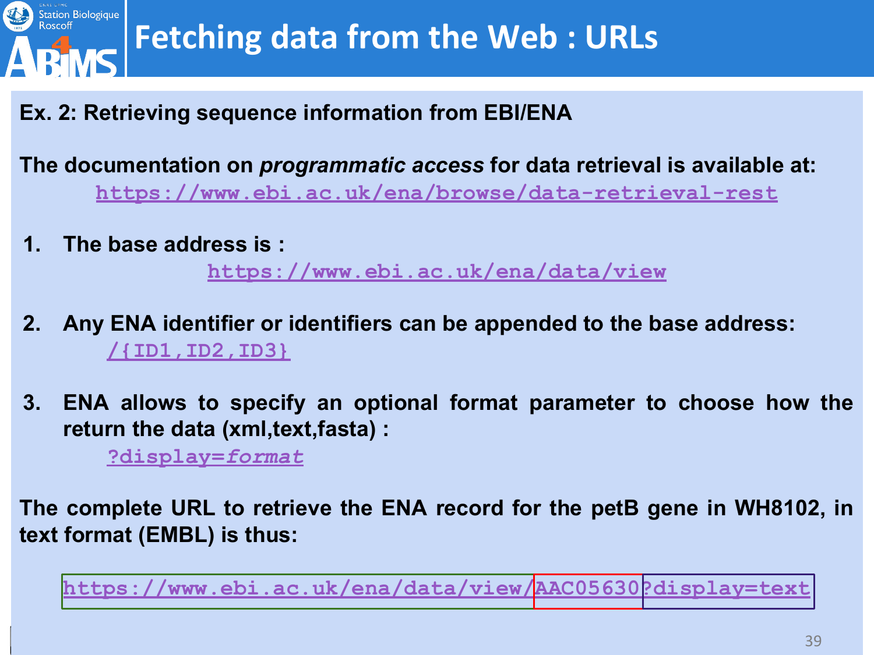

**Ex. 2: Retrieving sequence information from EBI/ENA**

**The documentation on** *programmatic access* **for data retrieval is available at: <https://www.ebi.ac.uk/ena/browse/data-retrieval-rest>**

**1. The base address is :** 

**[https://www.ebi.ac.uk/ena/data/view](https://www.ebi.ac.uk/ena/browse/data-retrieval-rest)**

- **2. Any ENA identifier or identifiers can be appended to the base address: [/{ID1,ID2,ID3}](http://www.marinespecies.org/rest/)**
- **3. ENA allows to specify an optional format parameter to choose how the return the data (xml,text,fasta) :**

**[?display=](http://www.marinespecies.org/rest/)***format*

**The complete URL to retrieve the ENA record for the petB gene in WH8102, in text format (EMBL) is thus:** 

**[https://www.ebi.ac.uk/ena/data/view/AAC05630?display=text](https://www.ebi.ac.uk/ena/browse/data-retrieval-rest)**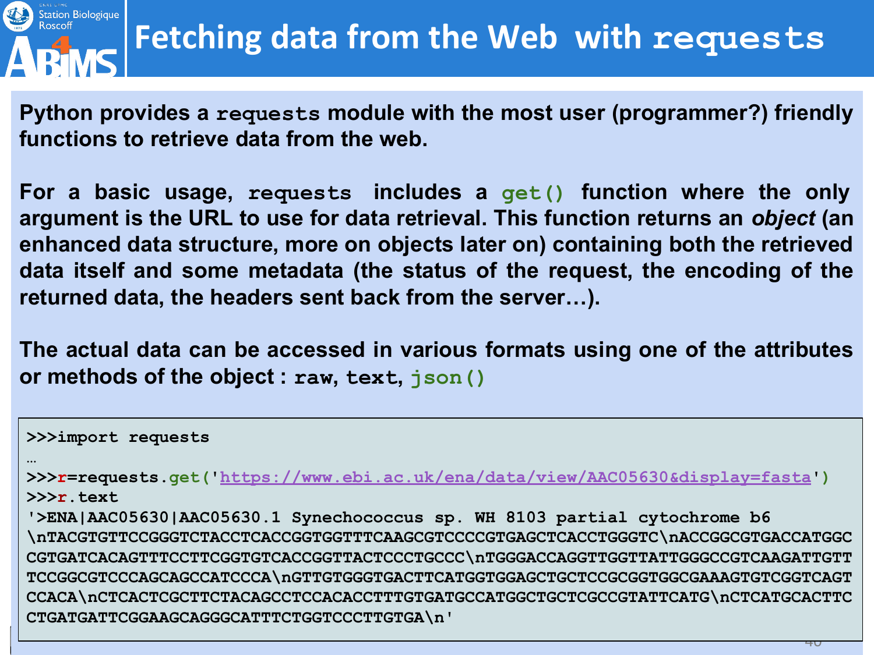

**Python provides a requests module with the most user (programmer?) friendly functions to retrieve data from the web.**

**For a basic usage, requests includes a get() function where the only argument is the URL to use for data retrieval. This function returns an** *object* **(an enhanced data structure, more on objects later on) containing both the retrieved data itself and some metadata (the status of the request, the encoding of the returned data, the headers sent back from the server…).**

**The actual data can be accessed in various formats using one of the attributes or methods of the object : raw, text, json()**

**>>>import requests … >>>r=requests.get('<https://www.ebi.ac.uk/ena/data/view/AAC05630&display=fasta>') >>>r.text '>ENA|AAC05630|AAC05630.1 Synechococcus sp. WH 8103 partial cytochrome b6 \nTACGTGTTCCGGGTCTACCTCACCGGTGGTTTCAAGCGTCCCCGTGAGCTCACCTGGGTC\nACCGGCGTGACCATGGC CGTGATCACAGTTTCCTTCGGTGTCACCGGTTACTCCCTGCCC\nTGGGACCAGGTTGGTTATTGGGCCGTCAAGATTGTT TCCGGCGTCCCAGCAGCCATCCCA\nGTTGTGGGTGACTTCATGGTGGAGCTGCTCCGCGGTGGCGAAAGTGTCGGTCAGT CCACA\nCTCACTCGCTTCTACAGCCTCCACACCTTTGTGATGCCATGGCTGCTCGCCGTATTCATG\nCTCATGCACTTC CTGATGATTCGGAAGCAGGGCATTTCTGGTCCCTTGTGA\n'**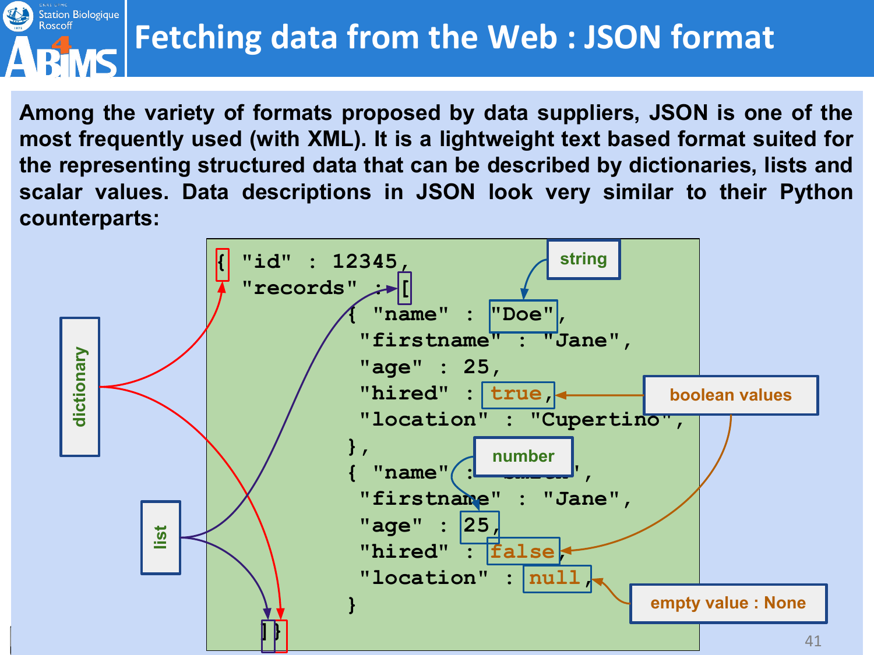#### Station Biologique **Fetching data from the Web : JSON format**

**Among the variety of formats proposed by data suppliers, JSON is one of the most frequently used (with XML). It is a lightweight text based format suited for the representing structured data that can be described by dictionaries, lists and scalar values. Data descriptions in JSON look very similar to their Python counterparts:**

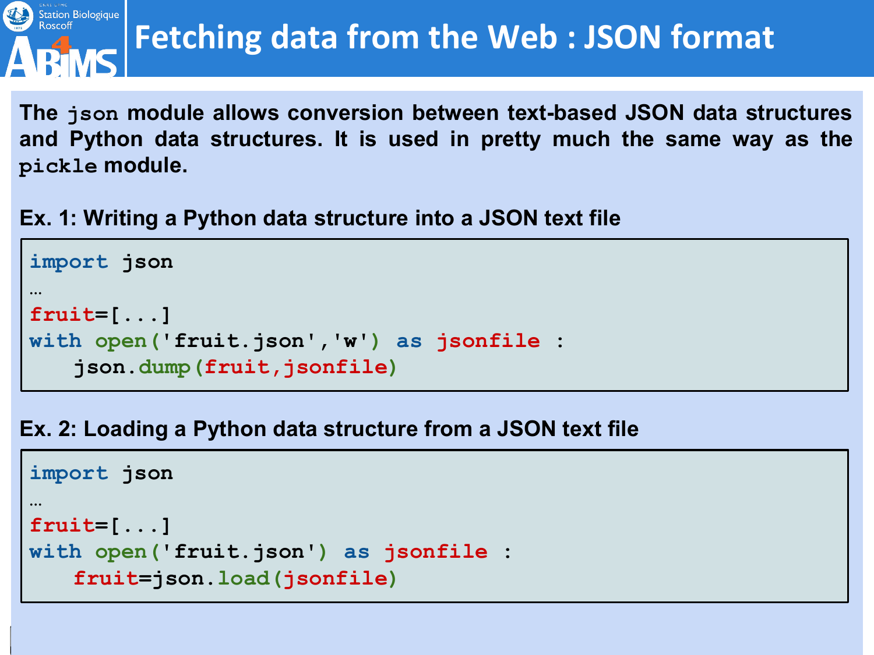![](_page_41_Picture_0.jpeg)

### **Fetching data from the Web : JSON format**

**The json module allows conversion between text-based JSON data structures and Python data structures. It is used in pretty much the same way as the pickle module.**

**Ex. 1: Writing a Python data structure into a JSON text file**

```
import json
…
fruit=[...]
with open('fruit.json','w') as jsonfile :
   json.dump(fruit,jsonfile)
```
**Ex. 2: Loading a Python data structure from a JSON text file**

```
import json
…
fruit=[...]
with open('fruit.json') as jsonfile :
   fruit=json.load(jsonfile)
```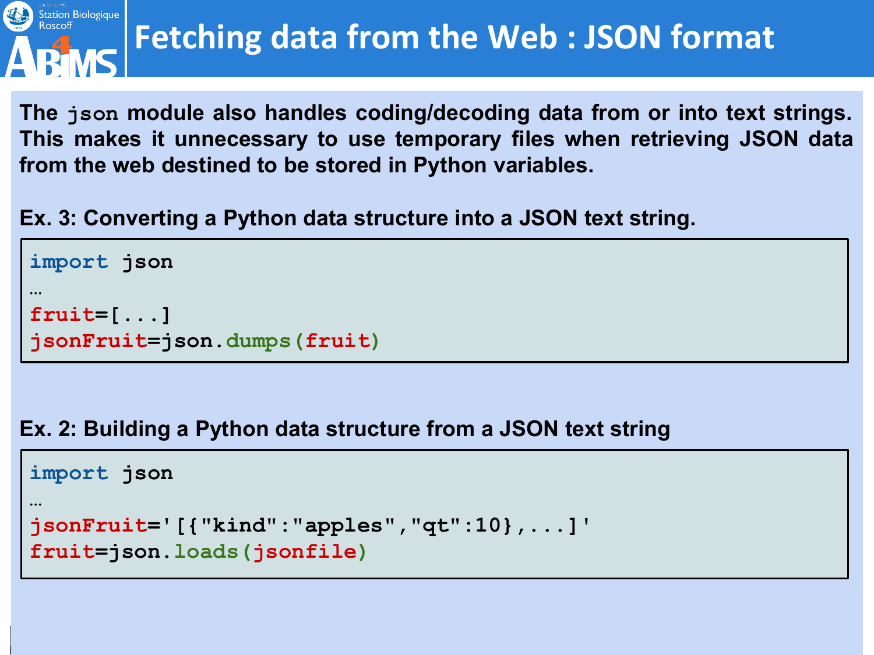![](_page_42_Picture_0.jpeg)

### **Fetching data from the Web : JSON format**

**The json module also handles coding/decoding data from or into text strings. This makes it unnecessary to use temporary files when retrieving JSON data from the web destined to be stored in Python variables.**

**Ex. 3: Converting a Python data structure into a JSON text string.**

```
import json
…
fruit=[...]
jsonFruit=json.dumps(fruit)
```
#### **Ex. 2: Building a Python data structure from a JSON text string**

```
import json
…
jsonFruit='[{"kind":"apples","qt":10},...]'
fruit=json.loads(jsonfile)
```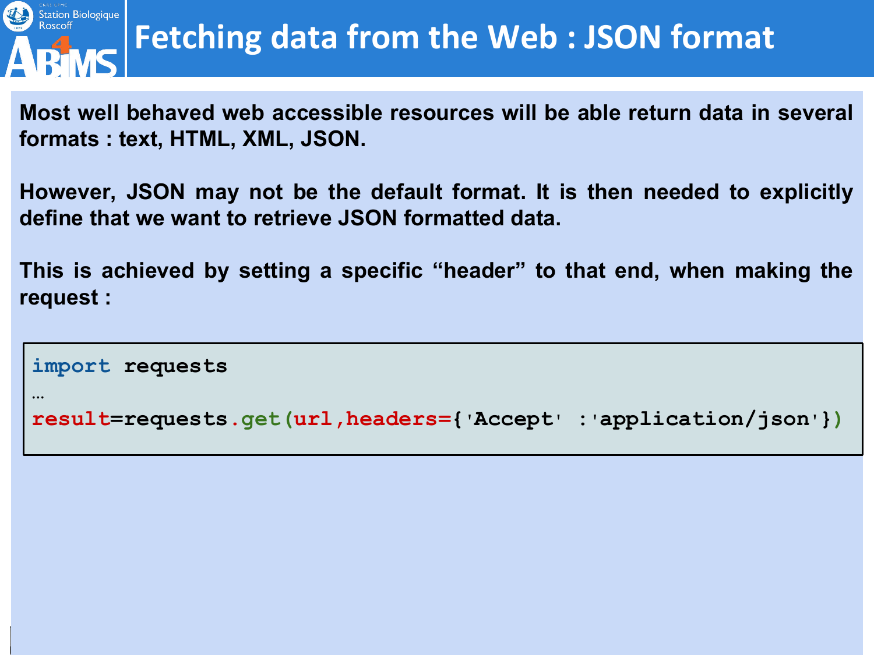![](_page_43_Picture_0.jpeg)

**…**

### **Fetching data from the Web : JSON format**

**Most well behaved web accessible resources will be able return data in several formats : text, HTML, XML, JSON.**

**However, JSON may not be the default format. It is then needed to explicitly define that we want to retrieve JSON formatted data.**

**This is achieved by setting a specific "header" to that end, when making the request :**

```
import requests
```

```
result=requests.get(url,headers={'Accept' :'application/json'})
```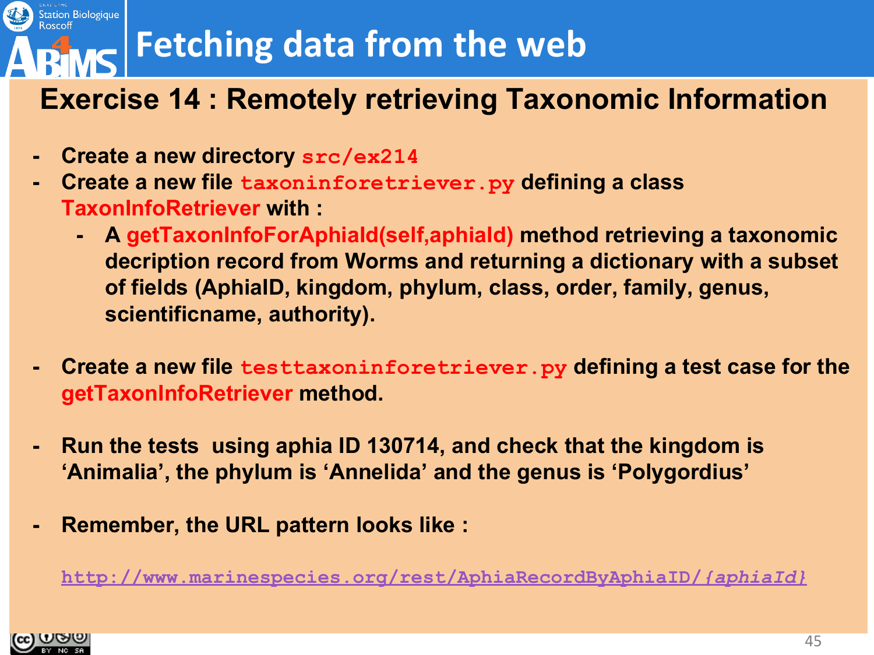### **Fetching data from the web**

#### **Exercise 14 : Remotely retrieving Taxonomic Information**

- **- Create a new directory src/ex214**
- **- Create a new file taxoninforetriever.py defining a class TaxonInfoRetriever with :**
	- **- A getTaxonInfoForAphiaId(self,aphiaId) method retrieving a taxonomic decription record from Worms and returning a dictionary with a subset of fields (AphiaID, kingdom, phylum, class, order, family, genus, scientificname, authority).**
- **- Create a new file testtaxoninforetriever.py defining a test case for the getTaxonInfoRetriever method.**
- **- Run the tests using aphia ID 130714, and check that the kingdom is 'Animalia', the phylum is 'Annelida' and the genus is 'Polygordius'**
- **- Remember, the URL pattern looks like :**

**[http://www.marinespecies.org/rest/AphiaRecordByAphiaID/](http://www.marinespecies.org/rest/)***{aphiaId}*

![](_page_44_Picture_9.jpeg)

Station Biologique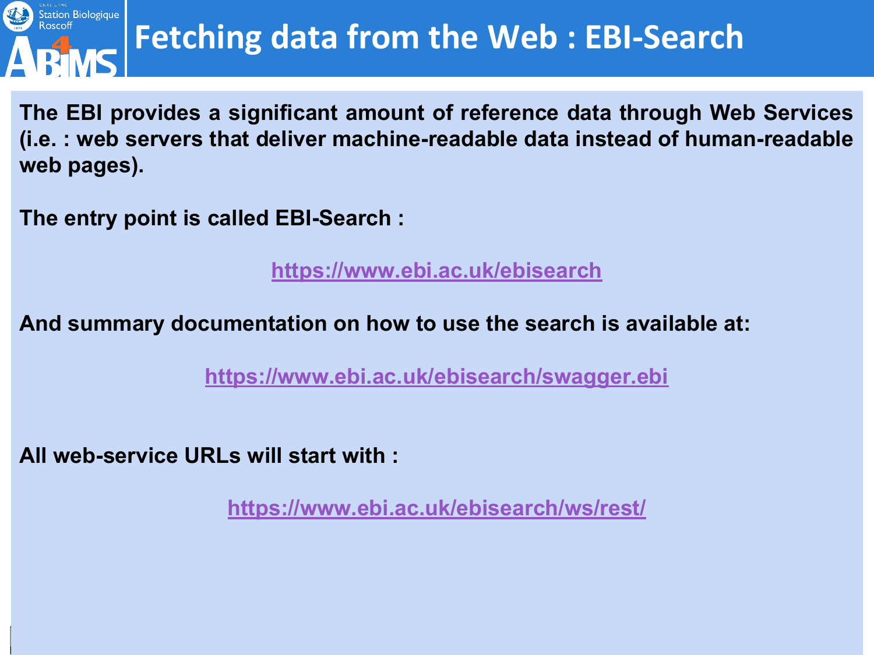![](_page_45_Picture_0.jpeg)

**The EBI provides a significant amount of reference data through Web Services (i.e. : web servers that deliver machine-readable data instead of human-readable web pages).**

**The entry point is called EBI-Search :**

**[https://www.ebi.ac.uk/ebisearch](https://www.ebi.ac.uk/ebisearch/swagger.ebi)**

**And summary documentation on how to use the search is available at:** 

**<https://www.ebi.ac.uk/ebisearch/swagger.ebi>**

**All web-service URLs will start with :**

**<https://www.ebi.ac.uk/ebisearch/ws/rest/>**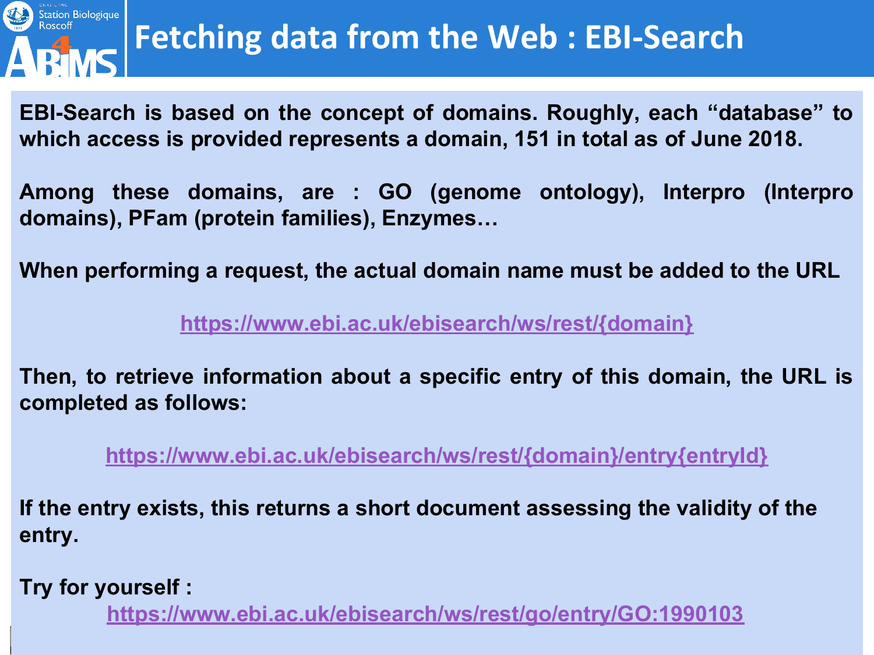![](_page_46_Picture_0.jpeg)

# **FA BRANCE SONG EVERY RETAILLY A GET AT A FERENCE AND RETAILLY A RETAILLY A RETAILLY A GET A FERENCE AND RETAILLY A RETAILLY A GET A FERENCE AND RETAILLY A GET A FERENCE AND RETAILLY A GET A FIGURE A GET A FIGURE A GET A G**

**EBI-Search is based on the concept of domains. Roughly, each "database" to which access is provided represents a domain, 151 in total as of June 2018.**

**Among these domains, are : GO (genome ontology), Interpro (Interpro domains), PFam (protein families), Enzymes…**

**When performing a request, the actual domain name must be added to the URL** 

**[https://www.ebi.ac.uk/ebisearch/ws/rest/{domain}](https://www.ebi.ac.uk/ebisearch/ws/rest/)**

**Then, to retrieve information about a specific entry of this domain, the URL is completed as follows:**

**[https://www.ebi.ac.uk/ebisearch/ws/rest/{domain}/entry{entryId}](https://www.ebi.ac.uk/ebisearch/ws/rest/)**

**If the entry exists, this returns a short document assessing the validity of the entry.**

**Try for yourself :**

**<https://www.ebi.ac.uk/ebisearch/ws/rest/go/entry/GO:1990103>**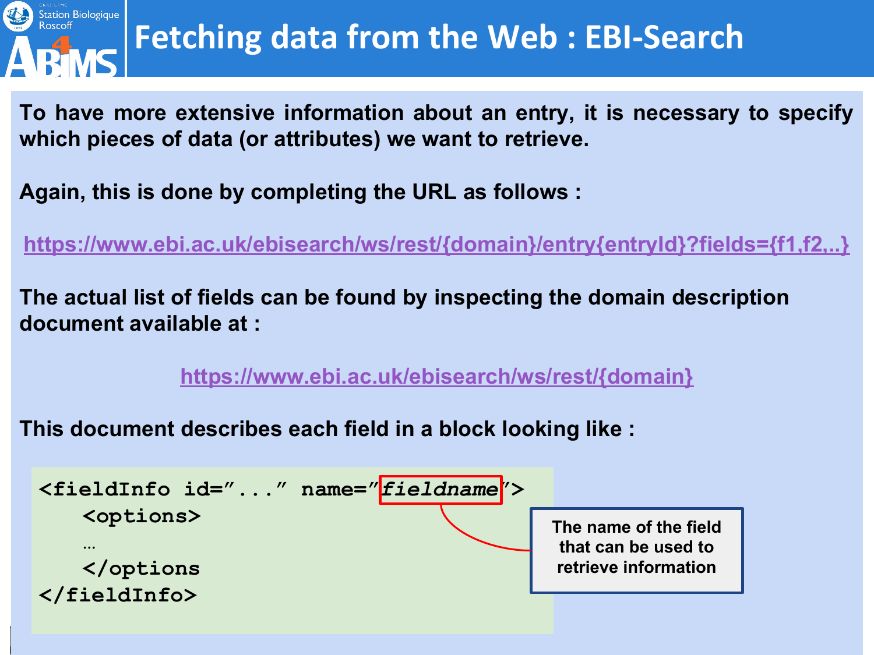![](_page_47_Picture_0.jpeg)

**To have more extensive information about an entry, it is necessary to specify which pieces of data (or attributes) we want to retrieve.**

**Again, this is done by completing the URL as follows :**

**[https://www.ebi.ac.uk/ebisearch/ws/rest/{domain}/entry{entryId}?fields={f1,f2,..}](https://www.ebi.ac.uk/ebisearch/ws/rest/)**

**The actual list of fields can be found by inspecting the domain description document available at :**

**[https://www.ebi.ac.uk/ebisearch/ws/rest/{domain}](https://www.ebi.ac.uk/ebisearch/ws/rest/)**

**This document describes each field in a block looking like :**

![](_page_47_Figure_8.jpeg)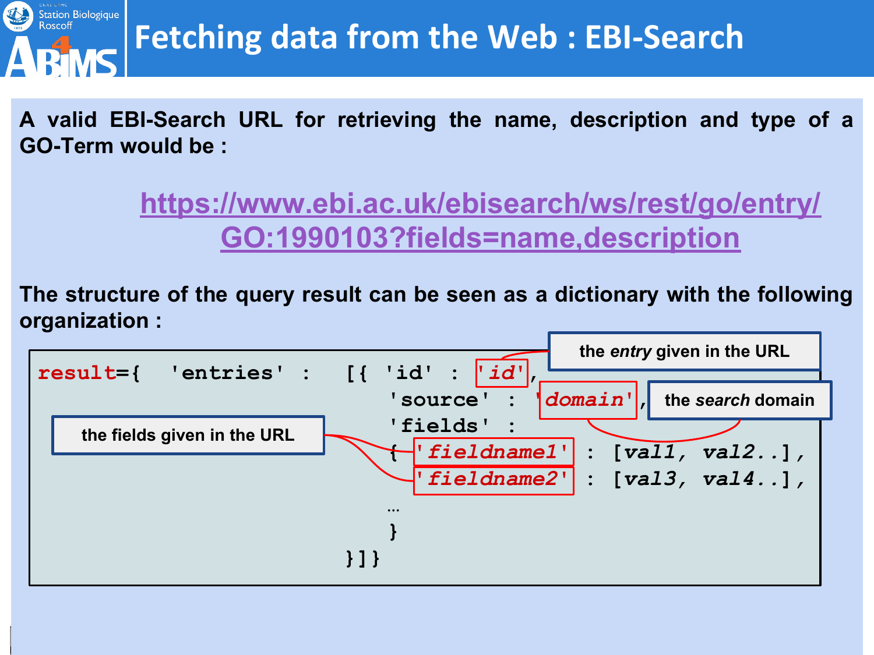![](_page_48_Picture_0.jpeg)

**A valid EBI-Search URL for retrieving the name, description and type of a GO-Term would be :**

> **[https://www.ebi.ac.uk/ebisearch/ws/rest/go/entry/](https://www.ebi.ac.uk/ebisearch/ws/rest/go/entry/GO:1990103) [GO:1990103?fields=name,description](https://www.ebi.ac.uk/ebisearch/ws/rest/go/entry/GO:1990103)**

**The structure of the query result can be seen as a dictionary with the following organization :**

![](_page_48_Figure_5.jpeg)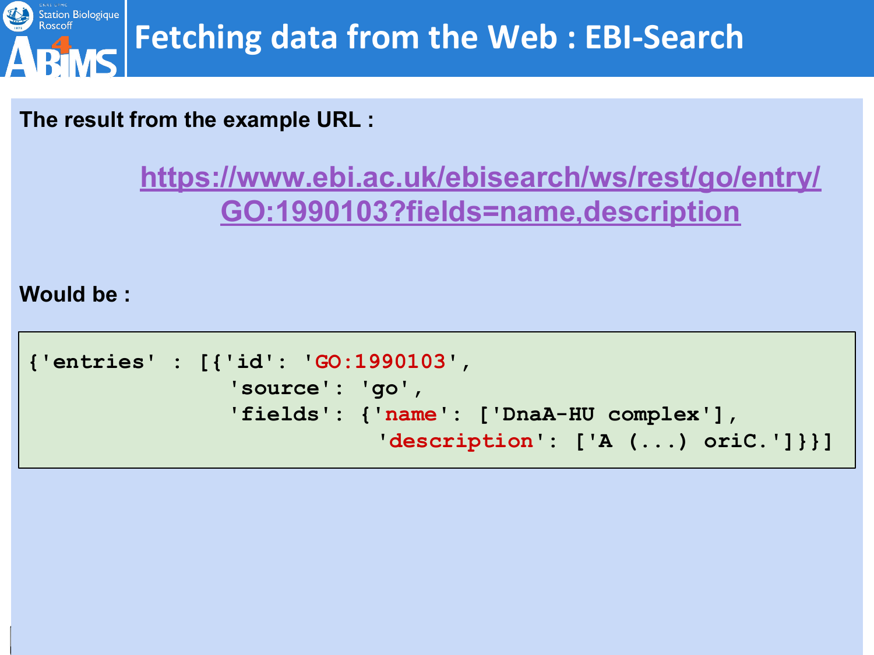![](_page_49_Picture_0.jpeg)

**The result from the example URL :**

**[https://www.ebi.ac.uk/ebisearch/ws/rest/go/entry/](https://www.ebi.ac.uk/ebisearch/ws/rest/go/entry/GO:1990103) [GO:1990103?fields=name,description](https://www.ebi.ac.uk/ebisearch/ws/rest/go/entry/GO:1990103)**

**Would be :**

```
{'entries' : [{'id': 'GO:1990103', 
                 'source': 'go', 
                 'fields': {'name': ['DnaA-HU complex'], 
                             'description': ['A (...) oriC.']}}]
```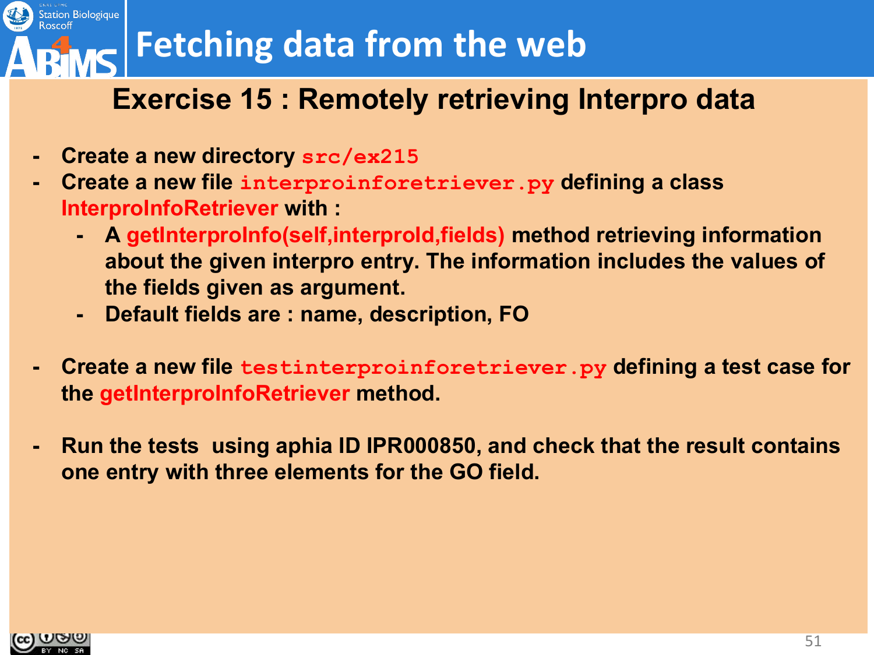### **Fetching data from the web**

#### **Exercise 15 : Remotely retrieving Interpro data**

- **- Create a new directory src/ex215**
- **- Create a new file interproinforetriever.py defining a class InterproInfoRetriever with :**
	- **- A getInterproInfo(self,interproId,fields) method retrieving information about the given interpro entry. The information includes the values of the fields given as argument.**
	- **- Default fields are : name, description, FO**
- **- Create a new file testinterproinforetriever.py defining a test case for the getInterproInfoRetriever method.**
- **- Run the tests using aphia ID IPR000850, and check that the result contains one entry with three elements for the GO field.**

![](_page_50_Picture_8.jpeg)

Station Biologique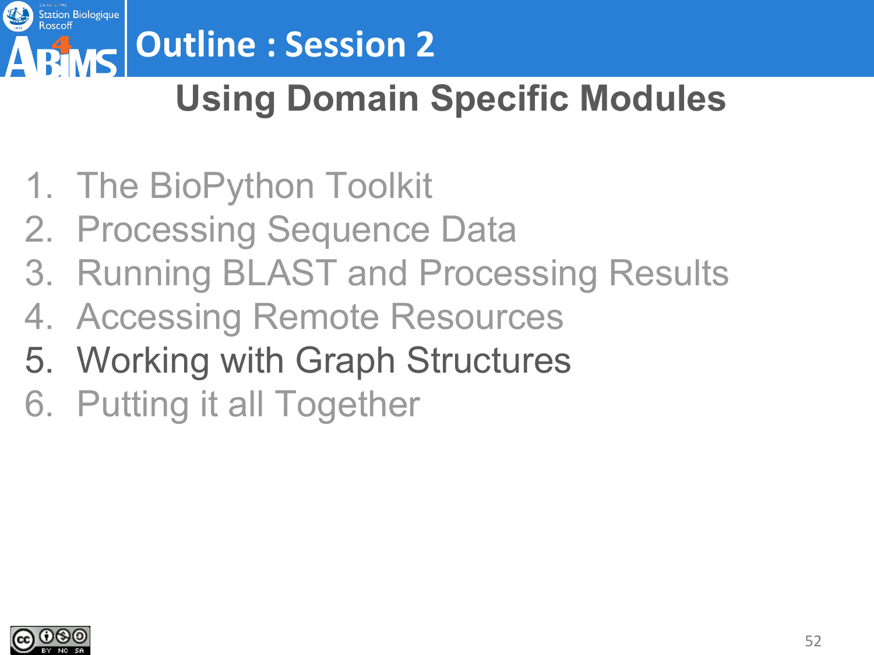![](_page_51_Picture_0.jpeg)

# **Outline : Session 2**

### **Using Domain Specific Modules**

- 1. The BioPython Toolkit
- 2. Processing Sequence Data
- 3. Running BLAST and Processing Results
- 4. Accessing Remote Resources
- 5. Working with Graph Structures
- 6. Putting it all Together

![](_page_51_Picture_9.jpeg)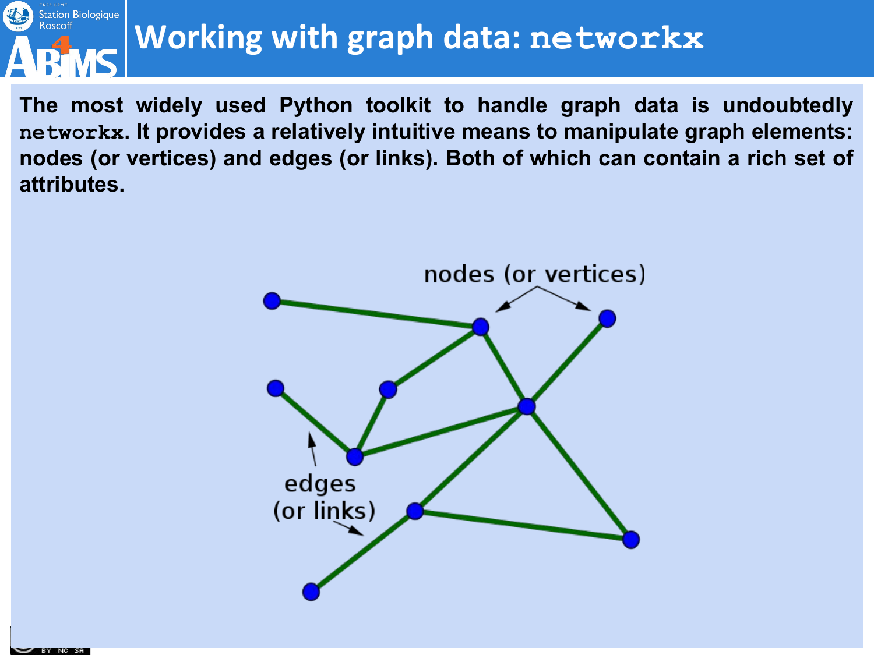![](_page_52_Picture_0.jpeg)

### **Working with graph data: networkx**

**The most widely used Python toolkit to handle graph data is undoubtedly networkx. It provides a relatively intuitive means to manipulate graph elements: nodes (or vertices) and edges (or links). Both of which can contain a rich set of attributes.**

![](_page_52_Figure_3.jpeg)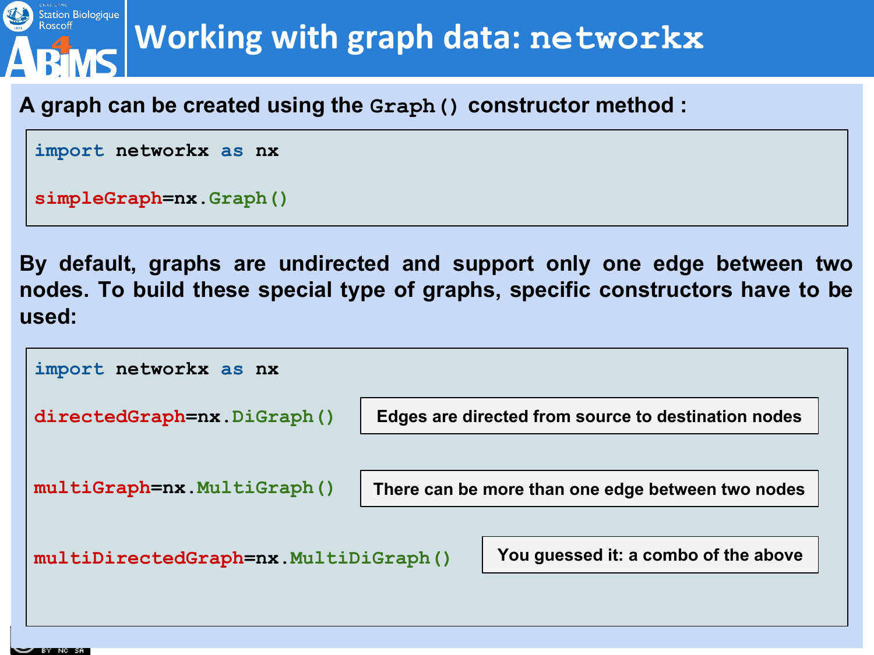![](_page_53_Picture_0.jpeg)

### **Working with graph data: networkx**

#### **A graph can be created using the Graph() constructor method :**

```
import networkx as nx
```

```
simpleGraph=nx.Graph()
```
**By default, graphs are undirected and support only one edge between two nodes. To build these special type of graphs, specific constructors have to be used:**

![](_page_53_Figure_6.jpeg)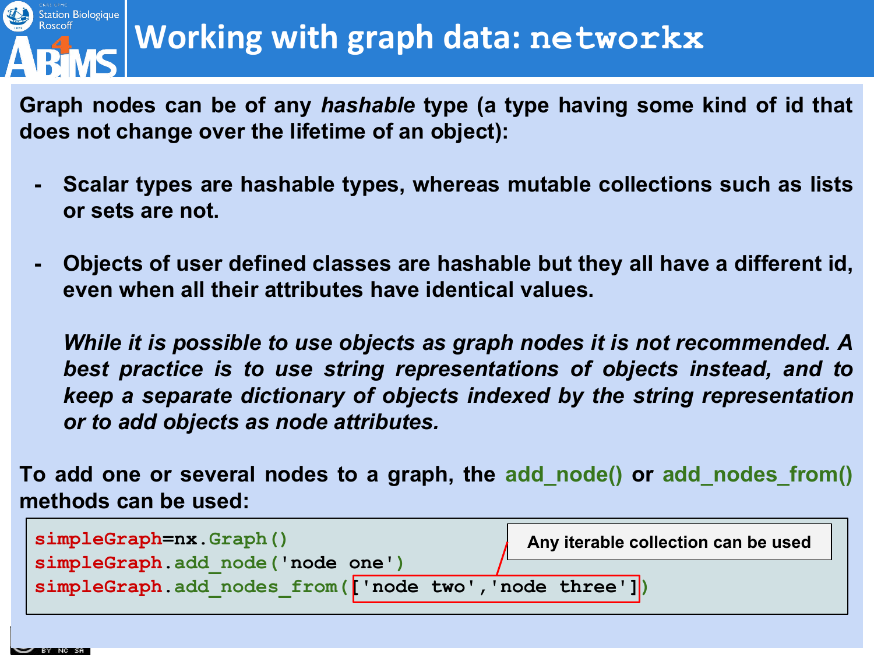![](_page_54_Picture_0.jpeg)

### **Working with graph data: networkx**

**Graph nodes can be of any** *hashable* **type (a type having some kind of id that does not change over the lifetime of an object):**

- **- Scalar types are hashable types, whereas mutable collections such as lists or sets are not.**
- **- Objects of user defined classes are hashable but they all have a different id, even when all their attributes have identical values.**

*While it is possible to use objects as graph nodes it is not recommended. A best practice is to use string representations of objects instead, and to keep a separate dictionary of objects indexed by the string representation or to add objects as node attributes.*

**To add one or several nodes to a graph, the add\_node() or add\_nodes\_from() methods can be used:**

| $simpleGraph=nx.Graph()$                               | Any iterable collection can be used |
|--------------------------------------------------------|-------------------------------------|
| simpleGraph.add node('node one')                       |                                     |
| simpleGraph.add nodes from(['node two', 'node three']) |                                     |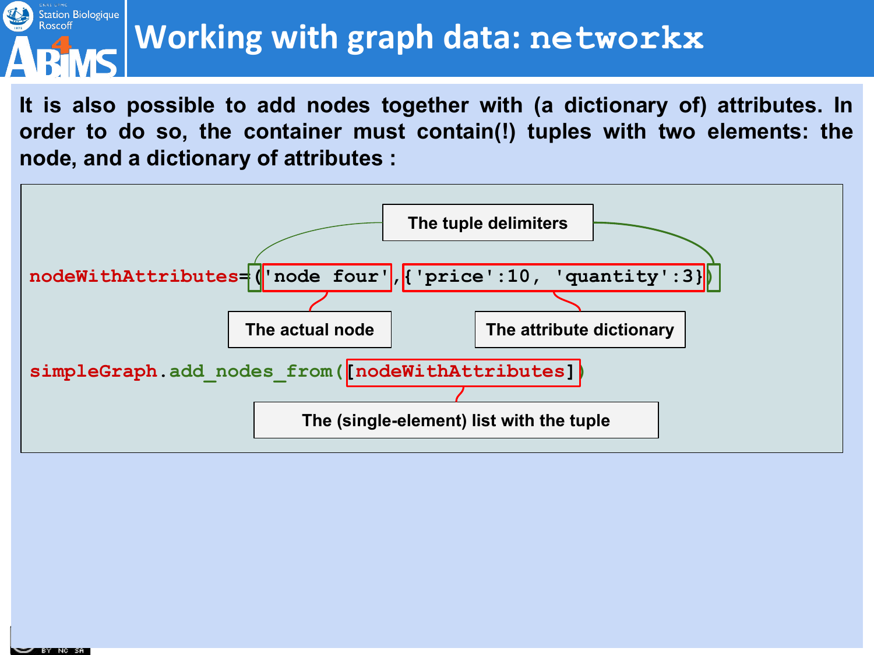#### Station Biologique<br>Roscoff **Working with graph data: networkx**

**It is also possible to add nodes together with (a dictionary of) attributes. In order to do so, the container must contain(!) tuples with two elements: the node, and a dictionary of attributes :**

![](_page_55_Figure_2.jpeg)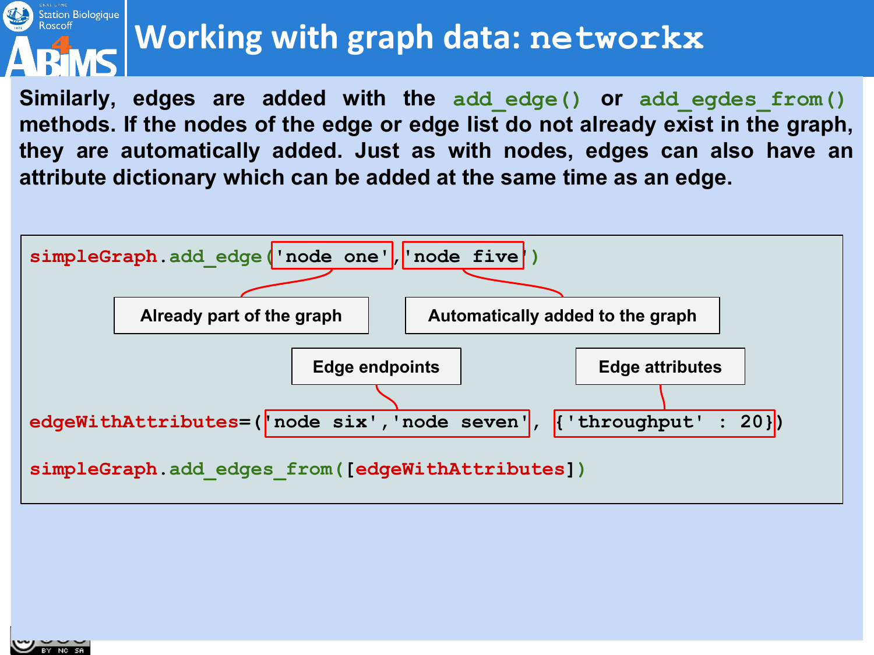#### Station Biologique<br>Roscoff **Working with graph data: networkx**

**Similarly, edges are added with the add\_edge() or add\_egdes\_from() methods. If the nodes of the edge or edge list do not already exist in the graph, they are automatically added. Just as with nodes, edges can also have an attribute dictionary which can be added at the same time as an edge.**

![](_page_56_Figure_2.jpeg)

![](_page_56_Picture_3.jpeg)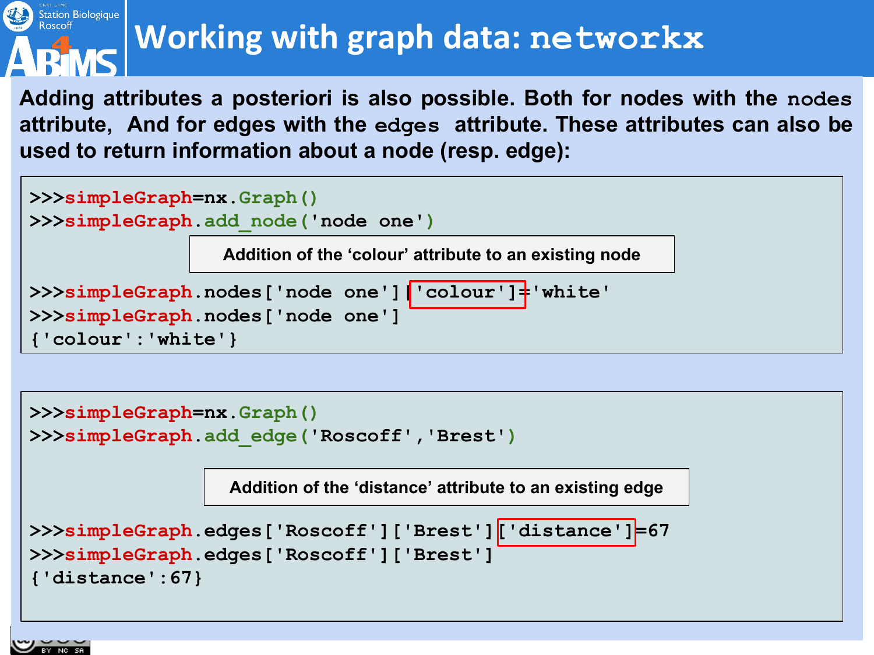# Station Biologique<br>Roscoff

### **Working with graph data: networkx**

**Adding attributes a posteriori is also possible. Both for nodes with the nodes attribute, And for edges with the edges attribute. These attributes can also be used to return information about a node (resp. edge):**

![](_page_57_Figure_3.jpeg)

![](_page_57_Figure_4.jpeg)

![](_page_57_Picture_5.jpeg)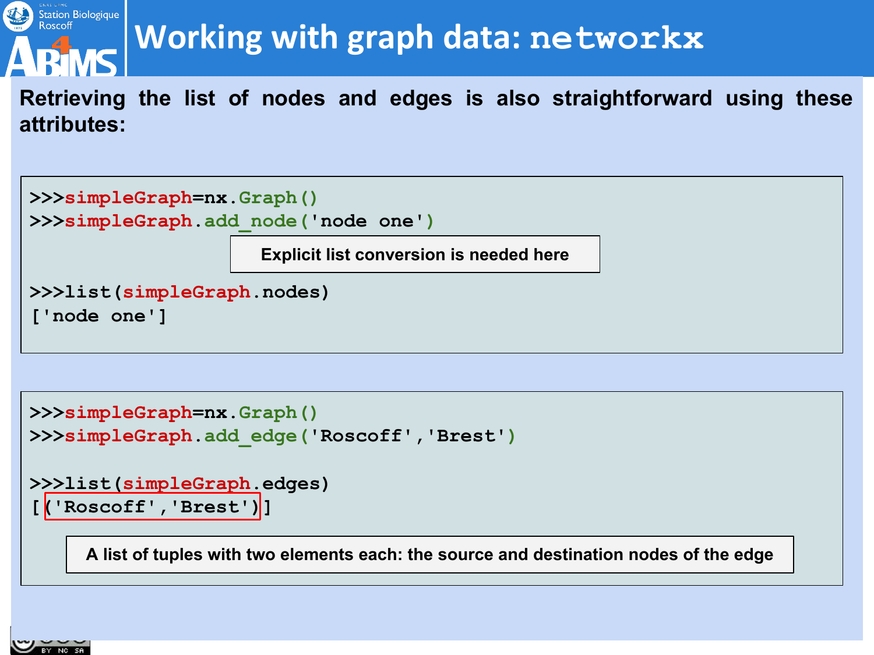# Station Biologique<br>Roscoff

### **Working with graph data: networkx**

**Retrieving the list of nodes and edges is also straightforward using these attributes:**

```
>>>simpleGraph=nx.Graph()
>>>simpleGraph.add_node('node one')
>>>list(simpleGraph.nodes)
['node one']
                      Explicit list conversion is needed here
```

```
>>>simpleGraph=nx.Graph()
>>>simpleGraph.add_edge('Roscoff','Brest')
```

```
>>>list(simpleGraph.edges)
```

```
[('Roscoff','Brest')]
```
**A list of tuples with two elements each: the source and destination nodes of the edge**

![](_page_58_Picture_8.jpeg)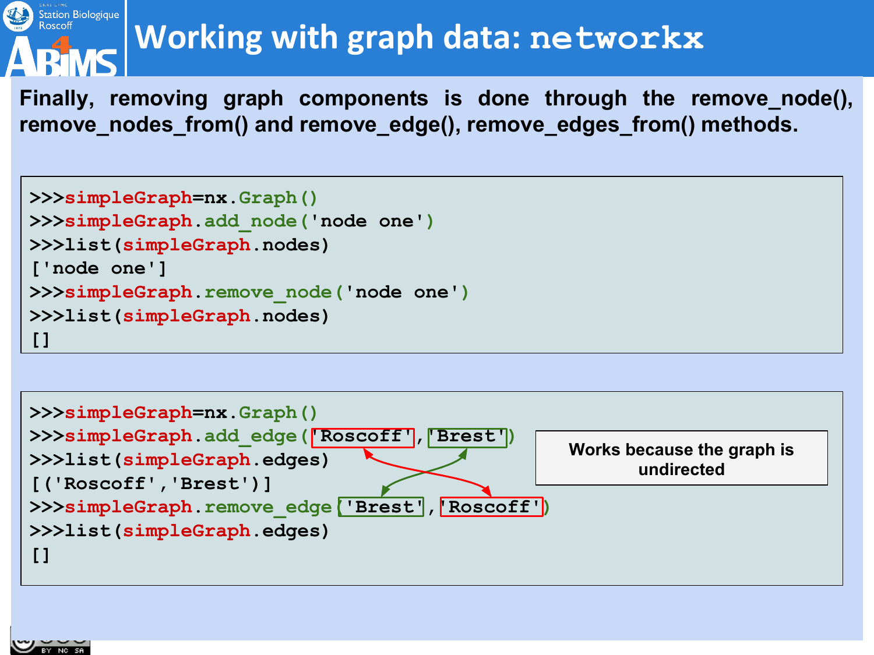#### Station Biologique<br>Roscoff **Working with graph data: networkx**

**Finally, removing graph components is done through the remove\_node(), remove\_nodes\_from() and remove\_edge(), remove\_edges\_from() methods.**

```
>>>simpleGraph=nx.Graph()
>>>simpleGraph.add_node('node one')
>>>list(simpleGraph.nodes)
['node one']
>>>simpleGraph.remove_node('node one')
>>>list(simpleGraph.nodes)
[]
```
![](_page_59_Figure_3.jpeg)

![](_page_59_Picture_4.jpeg)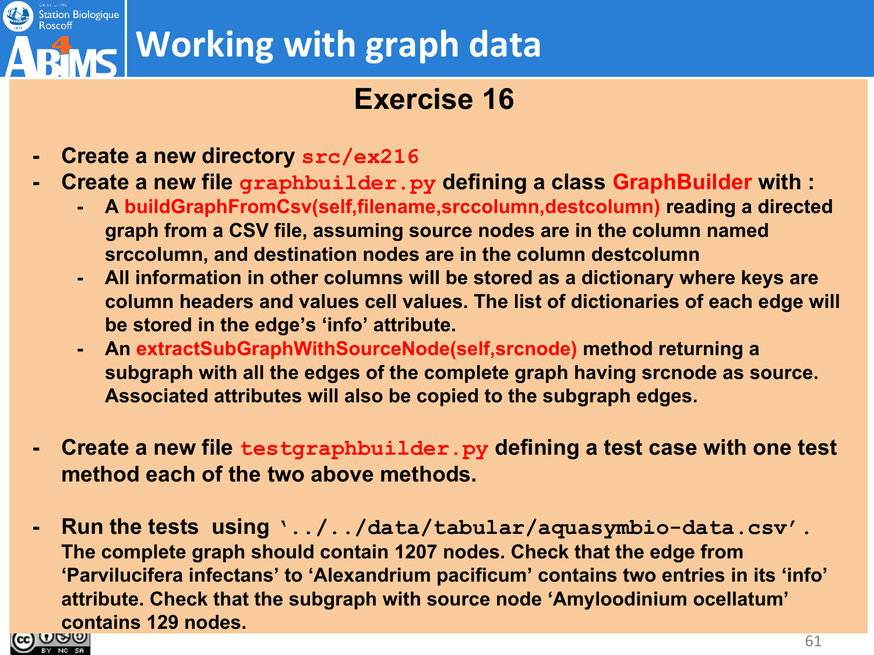#### Station Biologique **Working with graph data**

#### **Exercise 16**

- **- Create a new directory src/ex216**
- **- Create a new file graphbuilder.py defining a class GraphBuilder with :**
	- **- A buildGraphFromCsv(self,filename,srccolumn,destcolumn) reading a directed graph from a CSV file, assuming source nodes are in the column named srccolumn, and destination nodes are in the column destcolumn**
	- **- All information in other columns will be stored as a dictionary where keys are column headers and values cell values. The list of dictionaries of each edge will be stored in the edge's 'info' attribute.**
	- **- An extractSubGraphWithSourceNode(self,srcnode) method returning a subgraph with all the edges of the complete graph having srcnode as source. Associated attributes will also be copied to the subgraph edges.**
- **- Create a new file testgraphbuilder.py defining a test case with one test method each of the two above methods.**
- **- Run the tests using '../../data/tabular/aquasymbio-data.csv'. The complete graph should contain 1207 nodes. Check that the edge from 'Parvilucifera infectans' to 'Alexandrium pacificum' contains two entries in its 'info' attribute. Check that the subgraph with source node 'Amyloodinium ocellatum'**  contains 129 nodes.

![](_page_60_Picture_9.jpeg)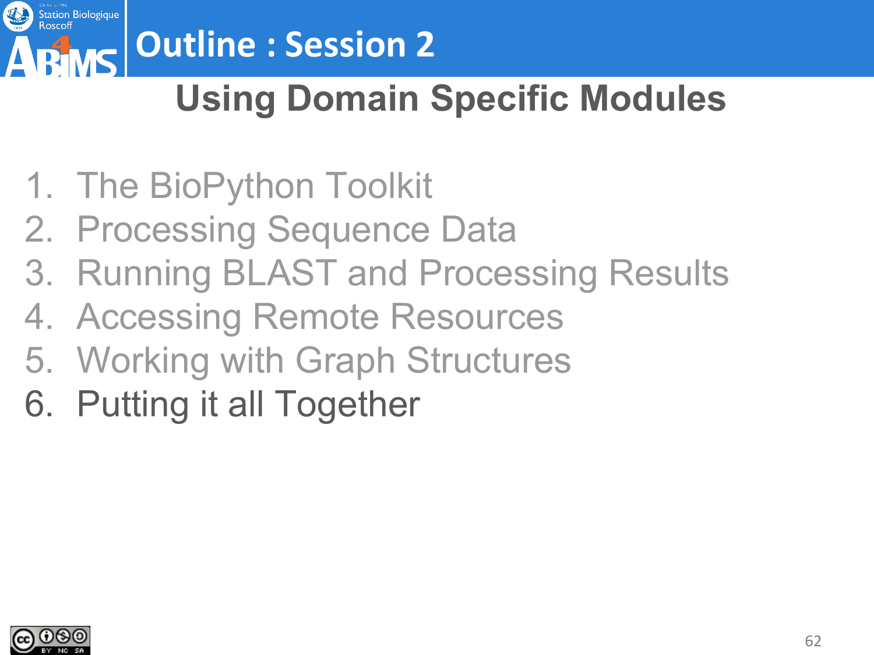![](_page_61_Picture_0.jpeg)

# **Outline : Session 2**

### **Using Domain Specific Modules**

- 1. The BioPython Toolkit
- 2. Processing Sequence Data
- 3. Running BLAST and Processing Results
- 4. Accessing Remote Resources
- 5. Working with Graph Structures
- 6. Putting it all Together

![](_page_61_Picture_9.jpeg)